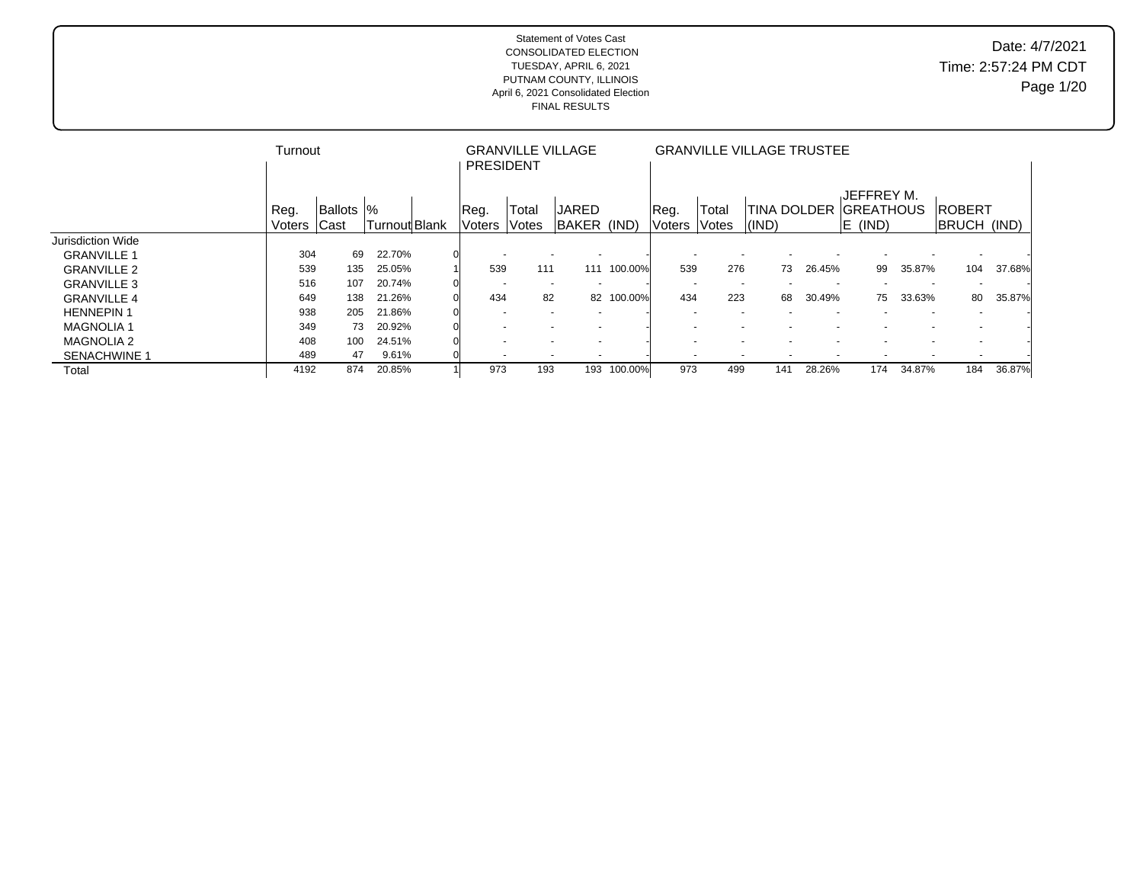|                     | Turnout        |                    |               | <b>PRESIDENT</b> | <b>GRANVILLE VILLAGE</b> |                             |         |                          |                |               | <b>GRANVILLE VILLAGE TRUSTEE</b> |                                              |        |                              |        |
|---------------------|----------------|--------------------|---------------|------------------|--------------------------|-----------------------------|---------|--------------------------|----------------|---------------|----------------------------------|----------------------------------------------|--------|------------------------------|--------|
|                     | Reg.<br>Voters | Ballots  %<br>Cast | Turnout Blank | Reg.<br>Voters   | Total<br>Votes           | <b>JARED</b><br>BAKER (IND) |         | Reg.<br>Voters           | Total<br>Votes | $\vert$ (IND) | <b>TINA DOLDER</b>               | JEFFREY M.<br><b>IGREATHOUS</b><br>$E$ (IND) |        | <b>ROBERT</b><br>BRUCH (IND) |        |
| Jurisdiction Wide   |                |                    |               |                  |                          |                             |         |                          |                |               |                                  |                                              |        |                              |        |
| <b>GRANVILLE 1</b>  | 304            | 69                 | 22.70%        |                  | $\overline{\phantom{a}}$ | $\sim$                      |         |                          |                |               |                                  |                                              |        |                              |        |
| <b>GRANVILLE 2</b>  | 539            | 135                | 25.05%        | 539              | 111                      | 111                         | 100.00% | 539                      | 276            | 73            | 26.45%                           | 99                                           | 35.87% | 104                          | 37.68% |
| <b>GRANVILLE 3</b>  | 516            | 107                | 20.74%        |                  | $\overline{\phantom{a}}$ | $\overline{\phantom{a}}$    |         | $\overline{\phantom{a}}$ |                |               |                                  |                                              |        |                              |        |
| <b>GRANVILLE 4</b>  | 649            | 138                | 21.26%        | 434              | 82                       | 82                          | 100.00% | 434                      | 223            | 68            | 30.49%                           | 75                                           | 33.63% | 80                           | 35.87% |
| <b>HENNEPIN1</b>    | 938            | 205                | 21.86%        |                  |                          |                             |         |                          |                |               |                                  |                                              |        |                              |        |
| <b>MAGNOLIA 1</b>   | 349            | 73                 | 20.92%        |                  |                          | $\overline{\phantom{0}}$    |         |                          |                |               |                                  |                                              |        |                              |        |
| <b>MAGNOLIA 2</b>   | 408            | 100                | 24.51%        |                  | $\overline{\phantom{a}}$ | $\overline{\phantom{a}}$    |         |                          |                |               |                                  |                                              |        |                              |        |
| <b>SENACHWINE 1</b> | 489            | 47                 | 9.61%         |                  | $\overline{\phantom{a}}$ | $\overline{\phantom{a}}$    |         | $\overline{\phantom{a}}$ |                |               |                                  |                                              |        |                              |        |
| Total               | 4192           | 874                | 20.85%        | 973              | 193                      | 193                         | 100.00% | 973                      | 499            | 141           | 28.26%                           | 174                                          | 34.87% | 184                          | 36.87% |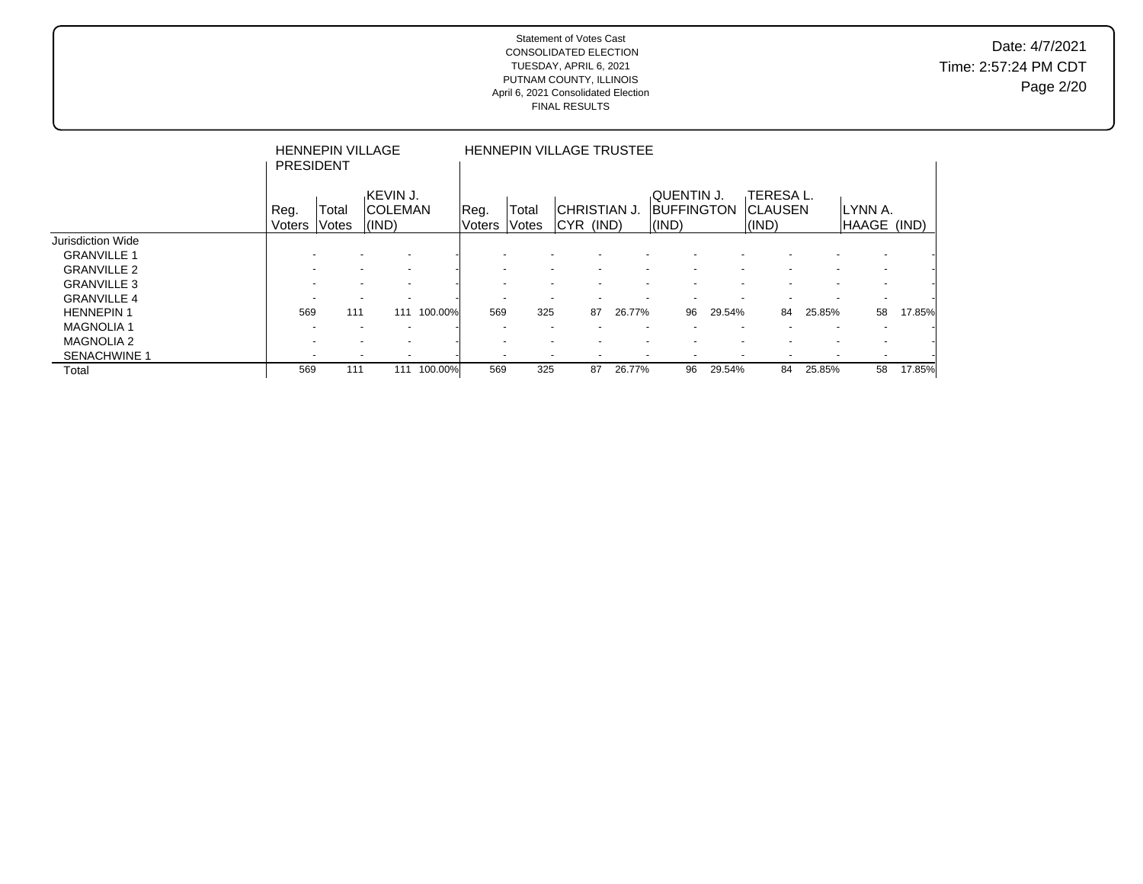|                     | <b>PRESIDENT</b>         | <b>HENNEPIN VILLAGE</b> |                                                      |         |                       | <b>HENNEPIN VILLAGE TRUSTEE</b> |                                  |                          |                          |                                          |                          |                                      |                          |                          |        |
|---------------------|--------------------------|-------------------------|------------------------------------------------------|---------|-----------------------|---------------------------------|----------------------------------|--------------------------|--------------------------|------------------------------------------|--------------------------|--------------------------------------|--------------------------|--------------------------|--------|
|                     | Reg.<br>Voters           | Total<br>Votes          | KEVIN J.<br><b>COLEMAN</b><br>(IND)                  |         | Reg.<br><b>Voters</b> | Total<br>Votes                  | <b>CHRISTIAN J.</b><br>CYR (IND) |                          |                          | QUENTIN J.<br><b>BUFFINGTON</b><br>(IND) |                          | TERESA L.<br><b>CLAUSEN</b><br>(IND) |                          | ILYNN A.<br>HAAGE (IND)  |        |
| Jurisdiction Wide   |                          |                         |                                                      |         |                       |                                 |                                  |                          |                          |                                          |                          |                                      |                          |                          |        |
| <b>GRANVILLE 1</b>  |                          |                         | $\overline{\phantom{a}}$                             |         |                       |                                 |                                  |                          |                          |                                          |                          |                                      |                          |                          |        |
| <b>GRANVILLE 2</b>  | $\overline{\phantom{a}}$ |                         | $\overline{\phantom{a}}$<br>$\overline{\phantom{a}}$ |         |                       |                                 | $\overline{\phantom{a}}$         | $\overline{\phantom{a}}$ | $\overline{\phantom{0}}$ | $\overline{\phantom{a}}$                 | $\overline{\phantom{0}}$ | $\overline{\phantom{0}}$             | $\overline{\phantom{a}}$ | $\overline{\phantom{a}}$ |        |
| <b>GRANVILLE 3</b>  |                          |                         | $\overline{\phantom{a}}$                             |         |                       |                                 |                                  |                          |                          |                                          |                          |                                      |                          |                          |        |
| <b>GRANVILLE 4</b>  |                          |                         |                                                      |         |                       |                                 |                                  |                          |                          |                                          |                          |                                      |                          |                          |        |
| <b>HENNEPIN1</b>    | 569                      | 111                     | 111                                                  | 100.00% | 569                   | 325                             |                                  | 87                       | 26.77%                   | 96                                       | 29.54%                   | 84                                   | 25.85%                   | 58                       | 17.85% |
| <b>MAGNOLIA1</b>    |                          |                         | $\overline{\phantom{a}}$                             |         |                       |                                 |                                  |                          |                          |                                          |                          |                                      |                          |                          |        |
| <b>MAGNOLIA 2</b>   |                          |                         | $\overline{\phantom{a}}$<br>$\overline{\phantom{a}}$ |         |                       |                                 |                                  |                          |                          |                                          |                          |                                      |                          |                          |        |
| <b>SENACHWINE 1</b> |                          |                         | $\overline{\phantom{a}}$<br>$\overline{\phantom{a}}$ |         |                       |                                 |                                  |                          |                          | $\overline{\phantom{a}}$                 |                          | $\overline{\phantom{a}}$             |                          |                          |        |
| Total               | 569                      | 111                     | 111                                                  | 100.00% | 569                   | 325                             |                                  | 87                       | 26.77%                   | 96                                       | 29.54%                   | 84                                   | 25.85%                   | 58                       | 17.85% |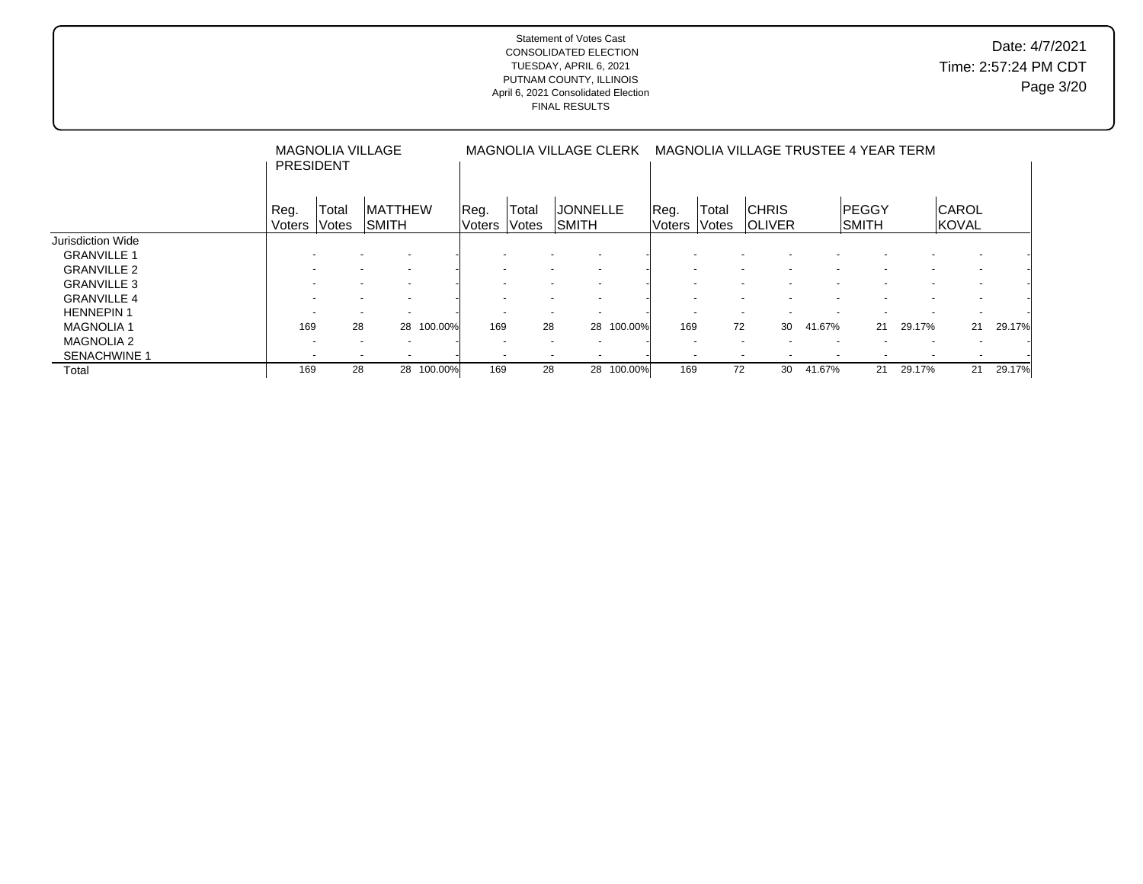|                     | <b>PRESIDENT</b> |                          | <b>MAGNOLIA VILLAGE</b>                              |         |                 |                       | MAGNOLIA VILLAGE CLERK                               |            |                          |                | MAGNOLIA VILLAGE TRUSTEE 4 YEAR TERM |                          |                              |        |                              |        |
|---------------------|------------------|--------------------------|------------------------------------------------------|---------|-----------------|-----------------------|------------------------------------------------------|------------|--------------------------|----------------|--------------------------------------|--------------------------|------------------------------|--------|------------------------------|--------|
|                     | Reg.<br>Voters   | Total<br>Votes           | <b>MATTHEW</b><br>ISMITH                             |         | Reg.<br> Voters | Total<br><b>Votes</b> | <b>JONNELLE</b><br>ISMITH                            |            | Reg.<br>lVoters          | Total<br>Votes | <b>CHRIS</b><br><b>IOLIVER</b>       |                          | <b>PEGGY</b><br><b>SMITH</b> |        | <b>CAROL</b><br><b>KOVAL</b> |        |
| Jurisdiction Wide   |                  |                          |                                                      |         |                 |                       |                                                      |            |                          |                |                                      |                          |                              |        |                              |        |
| <b>GRANVILLE 1</b>  |                  |                          | $\overline{\phantom{a}}$                             |         |                 |                       |                                                      |            |                          |                |                                      |                          |                              |        |                              |        |
| <b>GRANVILLE 2</b>  |                  |                          |                                                      |         |                 |                       | $\overline{\phantom{a}}$                             |            |                          |                |                                      |                          |                              |        |                              |        |
| <b>GRANVILLE 3</b>  |                  |                          | $\overline{\phantom{a}}$                             |         |                 |                       | $\overline{\phantom{a}}$                             |            |                          |                |                                      |                          |                              |        |                              |        |
| <b>GRANVILLE 4</b>  |                  |                          |                                                      |         |                 |                       |                                                      |            |                          |                |                                      |                          |                              |        |                              |        |
| <b>HENNEPIN1</b>    |                  | $\overline{\phantom{a}}$ | $\overline{a}$<br>$\overline{\phantom{a}}$           |         |                 |                       | $\sim$<br>$\overline{\phantom{a}}$                   |            |                          |                |                                      |                          |                              |        |                              |        |
| <b>MAGNOLIA1</b>    | 169              |                          | 28<br>28                                             | 100.00% | 169             | 28                    | 28                                                   | 100.00%    | 169                      | 72             | 30                                   | 41.67%                   | 21                           | 29.17% | 21                           | 29.17% |
| <b>MAGNOLIA 2</b>   |                  |                          | $\overline{\phantom{a}}$<br>$\overline{\phantom{a}}$ |         |                 |                       | $\overline{\phantom{a}}$<br>$\overline{\phantom{a}}$ |            | $\overline{\phantom{0}}$ |                | $\overline{\phantom{a}}$             | $\overline{\phantom{a}}$ |                              |        |                              |        |
| <b>SENACHWINE 1</b> |                  | $\overline{\phantom{a}}$ |                                                      |         |                 |                       |                                                      |            |                          |                |                                      |                          |                              |        |                              |        |
| Total               | 169              |                          | 28<br>28                                             | 100.00% | 169             | 28                    |                                                      | 28 100.00% | 169                      | 72             | 30                                   | 41.67%                   | 21                           | 29.17% | 21                           | 29.17% |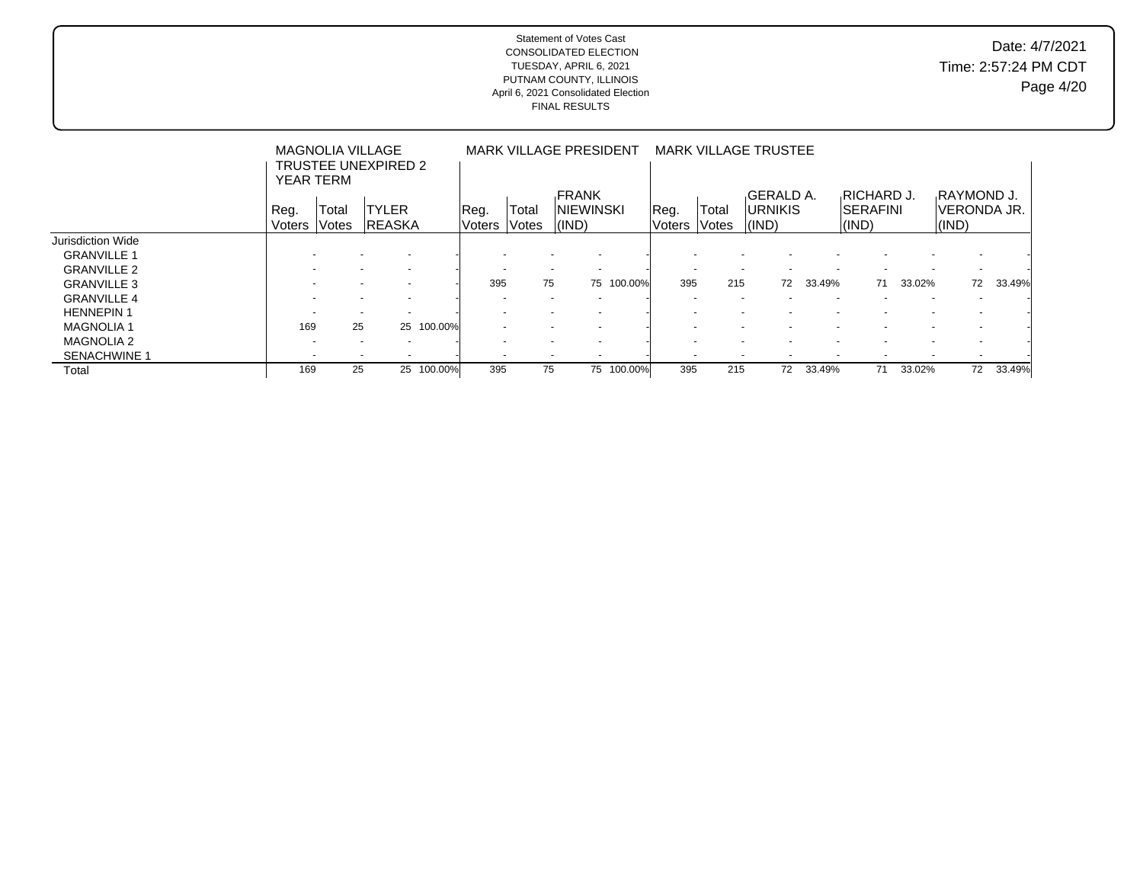## Date: 4/7/2021 Time: 2:57:24 PM CDT Page 4/20

|                     | <b>YEAR TERM</b>         | <b>MAGNOLIA VILLAGE</b>  | TRUSTEE UNEXPIRED 2      |            |                          |                          | <b>MARK VILLAGE PRESIDENT</b> |         |        |                          | <b>MARK VILLAGE TRUSTEE</b> |        |                                       |        |                            |        |
|---------------------|--------------------------|--------------------------|--------------------------|------------|--------------------------|--------------------------|-------------------------------|---------|--------|--------------------------|-----------------------------|--------|---------------------------------------|--------|----------------------------|--------|
|                     | Reg.                     | Total                    | <b>TYLER</b>             |            | Reg.                     | Total                    | <b>FRANK</b><br>INIEWINSKI    |         | Reg.   | Total                    | GERALD A.<br><b>URNIKIS</b> |        | <b>RICHARD J.</b><br><b>ISERAFINI</b> |        | RAYMOND J.<br>lveronda Jr. |        |
|                     | Voters                   | <b>Votes</b>             | <b>IREASKA</b>           |            | Voters                   | <i><b>Notes</b></i>      | (IND)                         |         | Voters | <b>Votes</b>             | $ $ (IND)                   |        | $\vert$ (IND)                         |        | $ $ (IND)                  |        |
| Jurisdiction Wide   |                          |                          |                          |            |                          |                          |                               |         |        |                          |                             |        |                                       |        |                            |        |
| <b>GRANVILLE 1</b>  |                          |                          | $\overline{\phantom{a}}$ |            |                          |                          |                               |         |        |                          |                             |        |                                       |        |                            |        |
| <b>GRANVILLE 2</b>  |                          |                          | $\overline{\phantom{a}}$ |            |                          | $\overline{\phantom{a}}$ | $\overline{\phantom{a}}$      |         |        | $\overline{\phantom{a}}$ |                             |        |                                       |        | $\sim$                     |        |
| <b>GRANVILLE 3</b>  |                          |                          | $\overline{\phantom{0}}$ |            | 395                      | 75                       | 75                            | 100.00% | 395    | 215                      | 72                          | 33.49% | 71                                    | 33.02% | 72                         | 33.49% |
| <b>GRANVILLE 4</b>  |                          |                          | $\overline{\phantom{a}}$ |            |                          |                          |                               |         |        |                          |                             |        |                                       |        |                            |        |
| <b>HENNEPIN1</b>    | $\overline{\phantom{a}}$ |                          | $\overline{a}$           |            | $\overline{a}$           | $\overline{\phantom{a}}$ | $\overline{\phantom{a}}$      |         |        |                          |                             |        |                                       |        | $\overline{\phantom{a}}$   |        |
| <b>MAGNOLIA1</b>    | 169                      | 25                       |                          | 25 100.00% | $\overline{\phantom{a}}$ | $\overline{\phantom{a}}$ | $\overline{\phantom{a}}$      |         |        |                          |                             |        |                                       |        | $\overline{\phantom{a}}$   |        |
| <b>MAGNOLIA 2</b>   |                          | $\overline{\phantom{a}}$ | $\overline{\phantom{a}}$ |            | $\overline{\phantom{a}}$ |                          | $\overline{\phantom{a}}$      |         |        |                          |                             |        |                                       |        | $\overline{\phantom{a}}$   |        |
| <b>SENACHWINE 1</b> | $\overline{\phantom{0}}$ |                          | $\overline{\phantom{a}}$ |            |                          | $\overline{\phantom{a}}$ |                               |         |        |                          |                             |        |                                       |        | $\overline{\phantom{a}}$   |        |
| Total               | 169                      | 25                       |                          | 25 100.00% | 395                      | 75                       | 75                            | 100.00% | 395    | 215                      | 72                          | 33.49% | 71                                    | 33.02% | 72                         | 33.49% |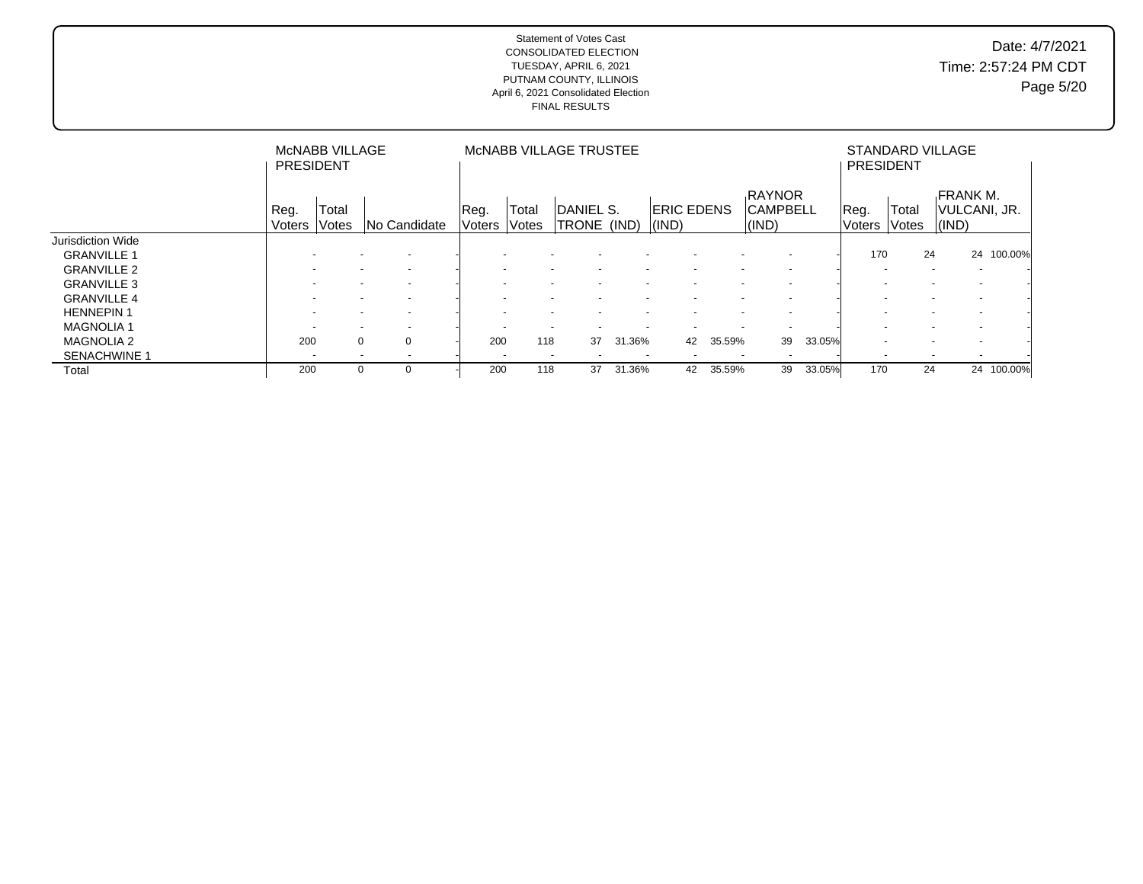## Date: 4/7/2021 Time: 2:57:24 PM CDT Page 5/20

|                     | <b>PRESIDENT</b>         | <b>MCNABB VILLAGE</b> |                          |                |                          | MCNABB VILLAGE TRUSTEE     |                          |                            |        |                                    |        | <b>PRESIDENT</b>      |                          | STANDARD VILLAGE                                 |         |
|---------------------|--------------------------|-----------------------|--------------------------|----------------|--------------------------|----------------------------|--------------------------|----------------------------|--------|------------------------------------|--------|-----------------------|--------------------------|--------------------------------------------------|---------|
|                     | Reg.<br>Voters           | Total<br>Votes        | <b>No Candidate</b>      | Reg.<br>Voters | Total<br>lVotes          | IDANIEL S.<br><b>TRONE</b> | (IND)                    | <b>ERIC EDENS</b><br>(IND) |        | RAYNOR<br><b>CAMPBELL</b><br>(IND) |        | Reg.<br><b>Voters</b> | Total<br>Votes           | <b>FRANK M.</b><br>VULCANI, JR.<br>$\vert$ (IND) |         |
| Jurisdiction Wide   |                          |                       |                          |                |                          |                            |                          |                            |        |                                    |        |                       |                          |                                                  |         |
| <b>GRANVILLE 1</b>  |                          |                       | $\overline{\phantom{a}}$ |                |                          |                            |                          |                            |        |                                    |        | 170                   | 24                       | 24                                               | 100.00% |
| <b>GRANVILLE 2</b>  |                          |                       | $\overline{\phantom{a}}$ |                |                          |                            |                          |                            |        | $\overline{\phantom{0}}$           |        |                       | $\overline{\phantom{a}}$ | $\overline{\phantom{a}}$                         |         |
| <b>GRANVILLE 3</b>  |                          |                       | $\overline{\phantom{0}}$ |                |                          |                            |                          |                            |        |                                    |        |                       |                          |                                                  |         |
| <b>GRANVILLE 4</b>  |                          |                       | $\overline{\phantom{a}}$ |                |                          |                            |                          |                            |        |                                    |        |                       |                          |                                                  |         |
| <b>HENNEPIN1</b>    |                          |                       | $\overline{\phantom{a}}$ |                | $\overline{\phantom{a}}$ |                            | $\overline{\phantom{0}}$ |                            |        | $\overline{\phantom{a}}$           |        |                       | $\overline{\phantom{a}}$ |                                                  |         |
| <b>MAGNOLIA1</b>    |                          |                       | $\overline{\phantom{a}}$ |                | $\overline{\phantom{a}}$ |                            | $\overline{\phantom{a}}$ |                            |        | $\overline{\phantom{a}}$           |        |                       | $\overline{\phantom{a}}$ |                                                  |         |
| <b>MAGNOLIA 2</b>   | 200                      | $\Omega$              | $\Omega$                 | 200            | 118                      | 37                         | l.36%<br>31              | 42                         | 35.59% | 39                                 | 33.05% |                       | $\overline{\phantom{0}}$ |                                                  |         |
| <b>SENACHWINE 1</b> | $\overline{\phantom{a}}$ |                       |                          |                | $\overline{\phantom{a}}$ |                            | $\overline{\phantom{a}}$ |                            |        | $\overline{\phantom{a}}$           |        |                       | $\overline{\phantom{0}}$ |                                                  |         |
| Total               | 200                      | $\Omega$              | $\Omega$                 | 200            | 118                      | 37                         | 31.36%                   | 42                         | 35.59% | 39                                 | 33.05% | 170                   | 24                       | 24                                               | 100.00% |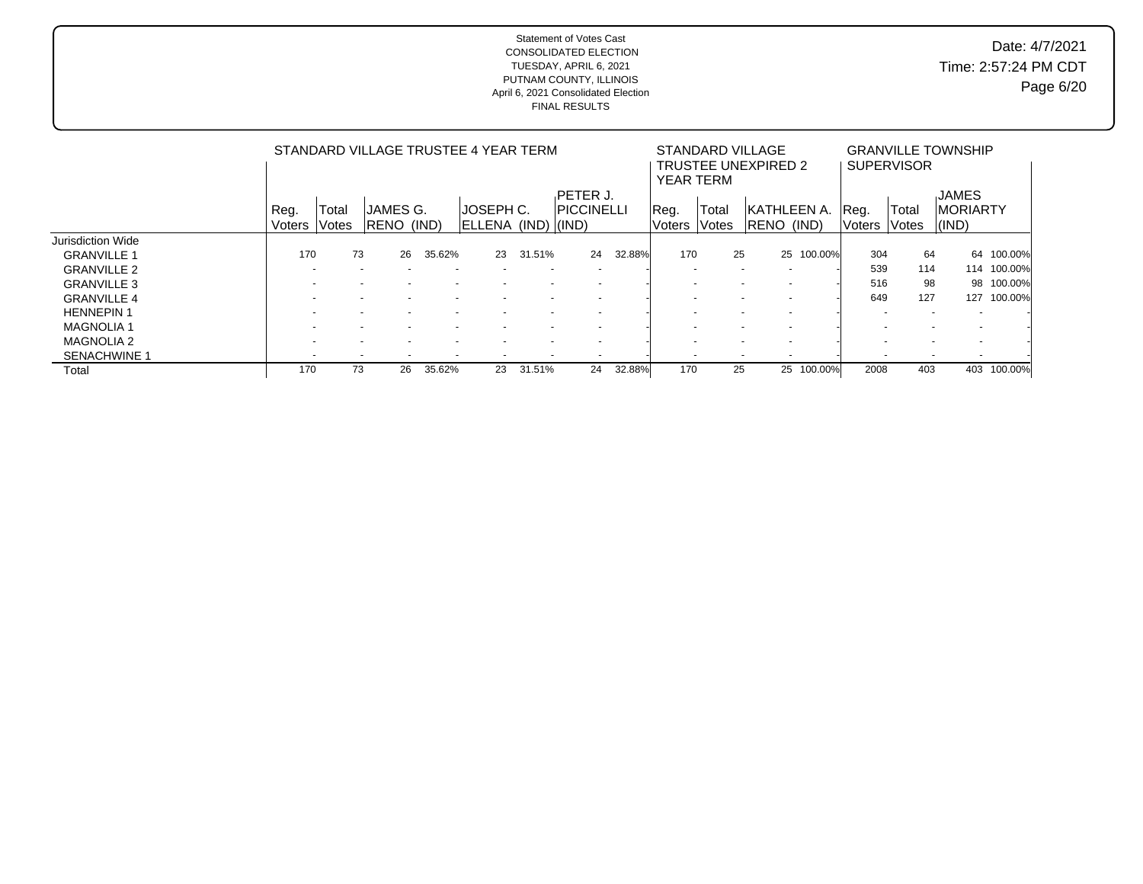| Date: 4/7/2021       |
|----------------------|
| Time: 2:57:24 PM CDT |
| Page 6/20            |

|                          |        |                          |                    |        | STANDARD VILLAGE TRUSTEE 4 YEAR TERM |                          |                    |        | <b>YEAR TERM</b> | STANDARD VILLAGE | <b>TRUSTEE UNEXPIRED 2</b> |                          |        | <b>SUPERVISOR</b>                                    | <b>GRANVILLE TOWNSHIP</b> |         |
|--------------------------|--------|--------------------------|--------------------|--------|--------------------------------------|--------------------------|--------------------|--------|------------------|------------------|----------------------------|--------------------------|--------|------------------------------------------------------|---------------------------|---------|
|                          |        |                          |                    |        |                                      |                          | PETER J.           |        |                  |                  |                            |                          |        |                                                      | <b>JAMES</b>              |         |
|                          | Reg.   | Total                    | JAMES G.           |        | JOSEPH C.                            |                          | <b>IPICCINELLI</b> |        | Reg.             | Total            |                            | <b>IKATHLEEN A.</b>      | Reg.   | Total                                                | <b>MORIARTY</b>           |         |
|                          | Voters | <b>Votes</b>             | <b>IRENO (IND)</b> |        | ELLENA (IND) (IND)                   |                          |                    |        | Voters           | Votes            | RENO (IND)                 |                          | Voters | lVotes                                               | $\vert$ (IND)             |         |
| <b>Jurisdiction Wide</b> |        |                          |                    |        |                                      |                          |                    |        |                  |                  |                            |                          |        |                                                      |                           |         |
| <b>GRANVILLE 1</b>       | 170    | 73                       | 26                 | 35.62% | 23                                   | 31.51%                   | 24                 | 32.88% | 170              | 25               |                            | 25 100.00%               | 304    | 64                                                   | 64                        | 100.00% |
| <b>GRANVILLE 2</b>       |        |                          |                    |        |                                      |                          |                    |        |                  |                  | $\overline{\phantom{a}}$   |                          | 539    | 114                                                  | 114                       | 100.00% |
| <b>GRANVILLE 3</b>       |        |                          |                    |        |                                      |                          |                    |        |                  |                  |                            |                          | 516    | 98                                                   | 98                        | 100.00% |
| <b>GRANVILLE 4</b>       |        |                          |                    |        |                                      |                          |                    |        |                  |                  |                            |                          | 649    | 127                                                  | 127                       | 100.00% |
| <b>HENNEPIN1</b>         |        |                          |                    |        |                                      |                          |                    |        |                  |                  |                            |                          |        | $\overline{\phantom{a}}$                             |                           |         |
| <b>MAGNOLIA 1</b>        |        |                          |                    |        |                                      |                          |                    |        |                  |                  |                            | $\overline{\phantom{a}}$ |        |                                                      |                           |         |
| <b>MAGNOLIA 2</b>        |        |                          |                    |        |                                      |                          |                    |        |                  |                  |                            | $\overline{\phantom{a}}$ |        |                                                      |                           |         |
| <b>SENACHWINE 1</b>      |        | $\overline{\phantom{a}}$ |                    |        | $\overline{\phantom{a}}$             | $\overline{\phantom{a}}$ |                    |        |                  |                  |                            |                          |        | $\overline{\phantom{a}}$<br>$\overline{\phantom{a}}$ |                           |         |
| Total                    | 170    |                          | 73<br>26           | 35.62% | 23                                   | 31.51%                   | 24                 | 32.88% | 170              | 25               |                            | 25 100.00%               | 2008   | 403                                                  | 403                       | 100.00% |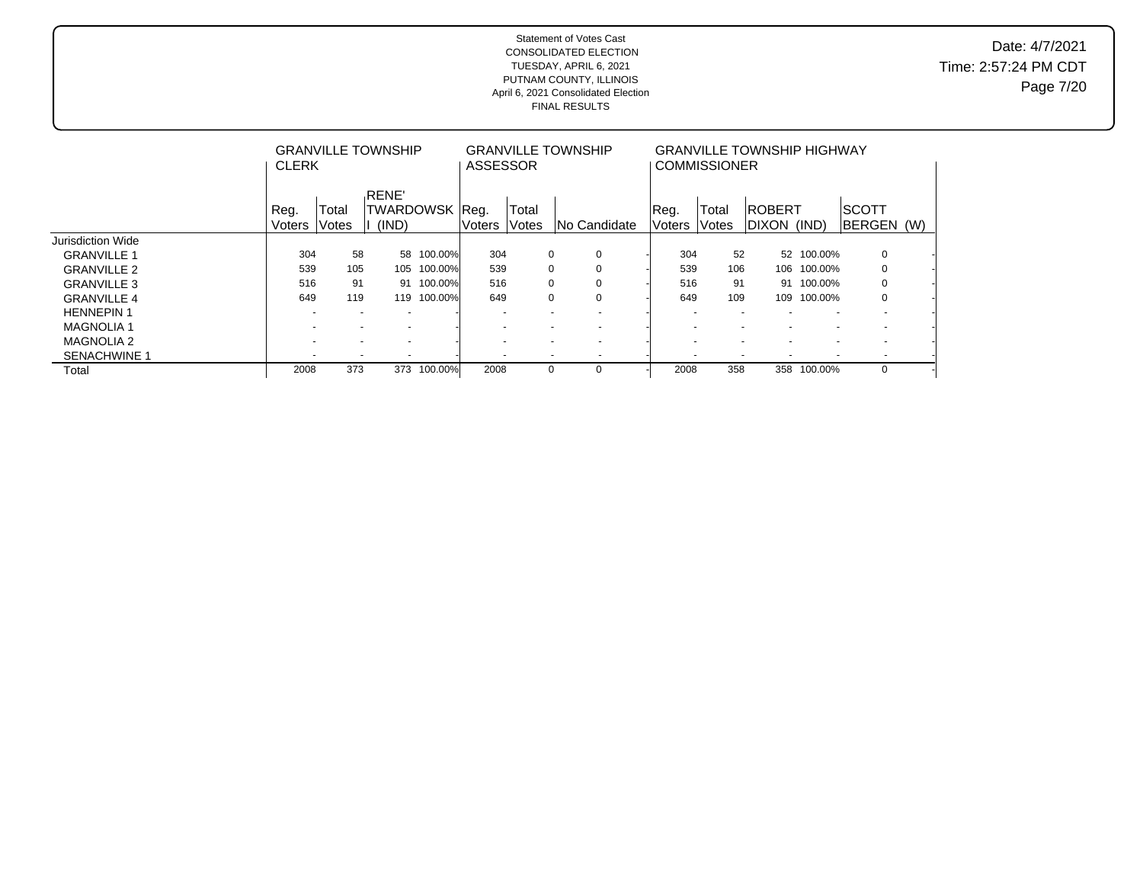|                     | <b>CLERK</b>             |                | <b>GRANVILLE TOWNSHIP</b>                            |         | ASSESSOR                 |                | <b>GRANVILLE TOWNSHIP</b>                  |                       | <b>GRANVILLE TOWNSHIP HIGHWAY</b><br><b>COMMISSIONER</b> |                                                      |                          |                            |  |
|---------------------|--------------------------|----------------|------------------------------------------------------|---------|--------------------------|----------------|--------------------------------------------|-----------------------|----------------------------------------------------------|------------------------------------------------------|--------------------------|----------------------------|--|
|                     | Reg.<br><b>Voters</b>    | Total<br>Votes | <b>RENE</b><br>TWARDOWSK   Reg.<br>(IND)             |         | <b>Voters</b>            | Total<br>Votes | INo Candidate                              | Reg.<br><b>Voters</b> | Total<br>Votes                                           | <b>ROBERT</b><br>Idixon (IND)                        |                          | <b>SCOTT</b><br>BERGEN (W) |  |
| Jurisdiction Wide   |                          |                |                                                      |         |                          |                |                                            |                       |                                                          |                                                      |                          |                            |  |
| <b>GRANVILLE 1</b>  | 304                      | 58             | 58                                                   | 100.00% | 304                      |                | 0<br>0                                     |                       | 52<br>304                                                |                                                      | 52 100.00%               | $\mathbf 0$                |  |
| <b>GRANVILLE 2</b>  | 539                      | 105            | 105                                                  | 100.00% | 539                      |                | 0<br>0                                     |                       | 539<br>106                                               | 106                                                  | 100.00%                  | 0                          |  |
| <b>GRANVILLE 3</b>  | 516                      | 91             | 91                                                   | 100.00% | 516                      |                | 0<br>0                                     |                       | 516<br>91                                                | 91                                                   | 100.00%                  | $\mathbf 0$                |  |
| <b>GRANVILLE 4</b>  | 649                      | 119            | 119                                                  | 100.00% | 649                      |                | 0<br>0                                     |                       | 649<br>109                                               | 109                                                  | 100.00%                  | $\mathbf 0$                |  |
| <b>HENNEPIN1</b>    |                          |                |                                                      |         | $\overline{\phantom{0}}$ |                | $\overline{\phantom{0}}$                   |                       |                                                          |                                                      |                          |                            |  |
| <b>MAGNOLIA1</b>    | $\overline{\phantom{0}}$ |                | $\overline{\phantom{a}}$<br>$\overline{\phantom{a}}$ |         | $\overline{\phantom{0}}$ |                | $\overline{a}$<br>$\overline{\phantom{0}}$ |                       | $\overline{\phantom{a}}$                                 | $\overline{\phantom{a}}$<br>$\overline{\phantom{0}}$ | $\overline{\phantom{a}}$ | $\overline{\phantom{a}}$   |  |
| <b>MAGNOLIA 2</b>   | $\overline{\phantom{a}}$ |                | $\overline{\phantom{0}}$<br>$\overline{\phantom{a}}$ |         | $\overline{\phantom{a}}$ |                | $\overline{a}$<br>$\overline{\phantom{0}}$ |                       | $\overline{\phantom{a}}$                                 | $\overline{\phantom{a}}$<br>$\overline{\phantom{a}}$ | $\overline{\phantom{a}}$ | $\sim$                     |  |
| <b>SENACHWINE 1</b> |                          |                | ۰                                                    |         |                          |                | $\overline{\phantom{a}}$                   |                       |                                                          |                                                      |                          |                            |  |
| Total               | 2008                     | 373            | 373                                                  | 100.00% | 2008                     |                | 0<br>0                                     |                       | 358<br>2008                                              | 358                                                  | 100.00%                  | $\mathbf 0$                |  |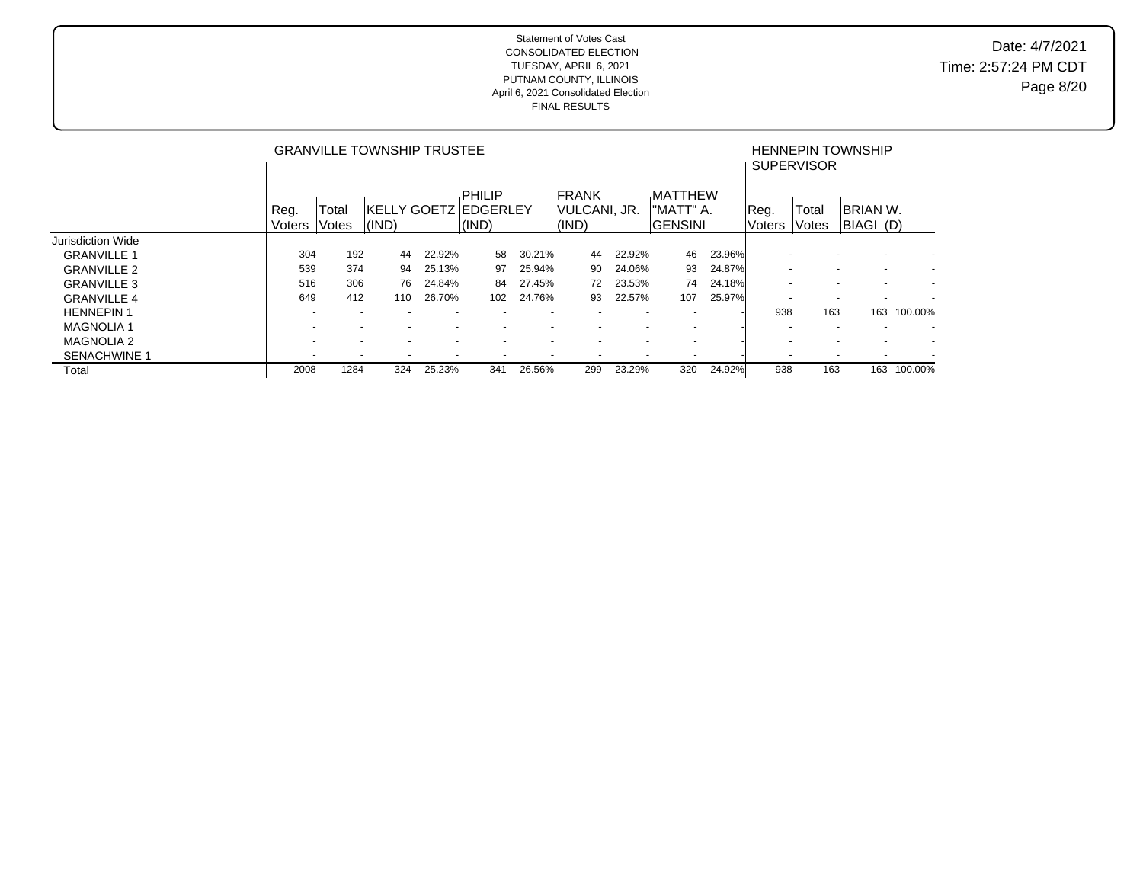## Date: 4/7/2021 Time: 2:57:24 PM CDT Page 8/20

|                    |                          |                          | <b>GRANVILLE TOWNSHIP TRUSTEE</b> |                          |                                           |                          |                                        |                          |                                               |        |                          | <b>SUPERVISOR</b> | <b>HENNEPIN TOWNSHIP</b>                             |         |
|--------------------|--------------------------|--------------------------|-----------------------------------|--------------------------|-------------------------------------------|--------------------------|----------------------------------------|--------------------------|-----------------------------------------------|--------|--------------------------|-------------------|------------------------------------------------------|---------|
|                    | Reg.<br>Voters           | Total<br>Votes           | I(IND)                            |                          | PHILIP<br>IKELLY GOETZ  EDGERLEY<br>(IND) |                          | <b>FRANK</b><br> VULCANI, JR.<br>(IND) |                          | <b>MATTHEW</b><br>"MATT" A.<br><b>GENSINI</b> |        | Reg.<br>Voters           | Total<br>Votes    | <b>IBRIAN W.</b><br>BIAGI (D)                        |         |
| Jurisdiction Wide  |                          |                          |                                   |                          |                                           |                          |                                        |                          |                                               |        |                          |                   |                                                      |         |
| <b>GRANVILLE 1</b> | 304                      | 192                      | 44                                | 22.92%                   | 58                                        | 30.21%                   | 44                                     | 22.92%                   | 46                                            | 23.96% |                          |                   | $\overline{\phantom{0}}$                             |         |
| <b>GRANVILLE 2</b> | 539                      | 374                      | 94                                | 25.13%                   | 97                                        | 25.94%                   | 90                                     | 24.06%                   | 93                                            | 24.87% | $\overline{\phantom{a}}$ |                   | $\sim$<br>$\overline{\phantom{a}}$                   |         |
| <b>GRANVILLE 3</b> | 516                      | 306                      | 76                                | 24.84%                   | 84                                        | 27.45%                   | 72                                     | 23.53%                   | 74                                            | 24.18% | $\overline{\phantom{a}}$ |                   | $\overline{\phantom{0}}$<br>$\overline{\phantom{a}}$ |         |
| <b>GRANVILLE 4</b> | 649                      | 412                      | 110                               | 26.70%                   | 102                                       | 24.76%                   | 93                                     | 22.57%                   | 107                                           | 25.97% |                          |                   | $\overline{a}$<br>$\overline{\phantom{0}}$           |         |
| <b>HENNEPIN1</b>   | ۰                        | ۰                        |                                   | $\overline{\phantom{a}}$ |                                           | $\overline{\phantom{a}}$ |                                        | $\overline{\phantom{a}}$ |                                               |        | 938                      | 163               | 163                                                  | 100.00% |
| <b>MAGNOLIA1</b>   | $\overline{\phantom{0}}$ | $\overline{\phantom{0}}$ | $\overline{\phantom{0}}$          |                          |                                           | $\overline{\phantom{0}}$ | $\overline{\phantom{0}}$               | $\overline{\phantom{a}}$ | $\overline{\phantom{a}}$                      |        |                          |                   | $\overline{\phantom{a}}$<br>$\overline{\phantom{a}}$ |         |
| <b>MAGNOLIA 2</b>  |                          | $\overline{\phantom{a}}$ | $\overline{\phantom{a}}$          | $\overline{\phantom{0}}$ |                                           | ٠                        |                                        | $\overline{\phantom{0}}$ |                                               |        |                          |                   | $\overline{a}$<br>$\sim$                             |         |
| SENACHWINE 1       | ۰                        | $\overline{\phantom{a}}$ | $\overline{\phantom{a}}$          | $\overline{\phantom{a}}$ | $\overline{\phantom{a}}$                  | $\overline{\phantom{a}}$ | $\overline{\phantom{a}}$               | $\overline{\phantom{a}}$ |                                               |        |                          |                   | $\overline{\phantom{a}}$<br>$\overline{\phantom{a}}$ |         |
| Total              | 2008                     | 1284                     | 324                               | 25.23%                   | 341                                       | 26.56%                   | 299                                    | 23.29%                   | 320                                           | 24.92% | 938                      | 163               | 163                                                  | 100.00% |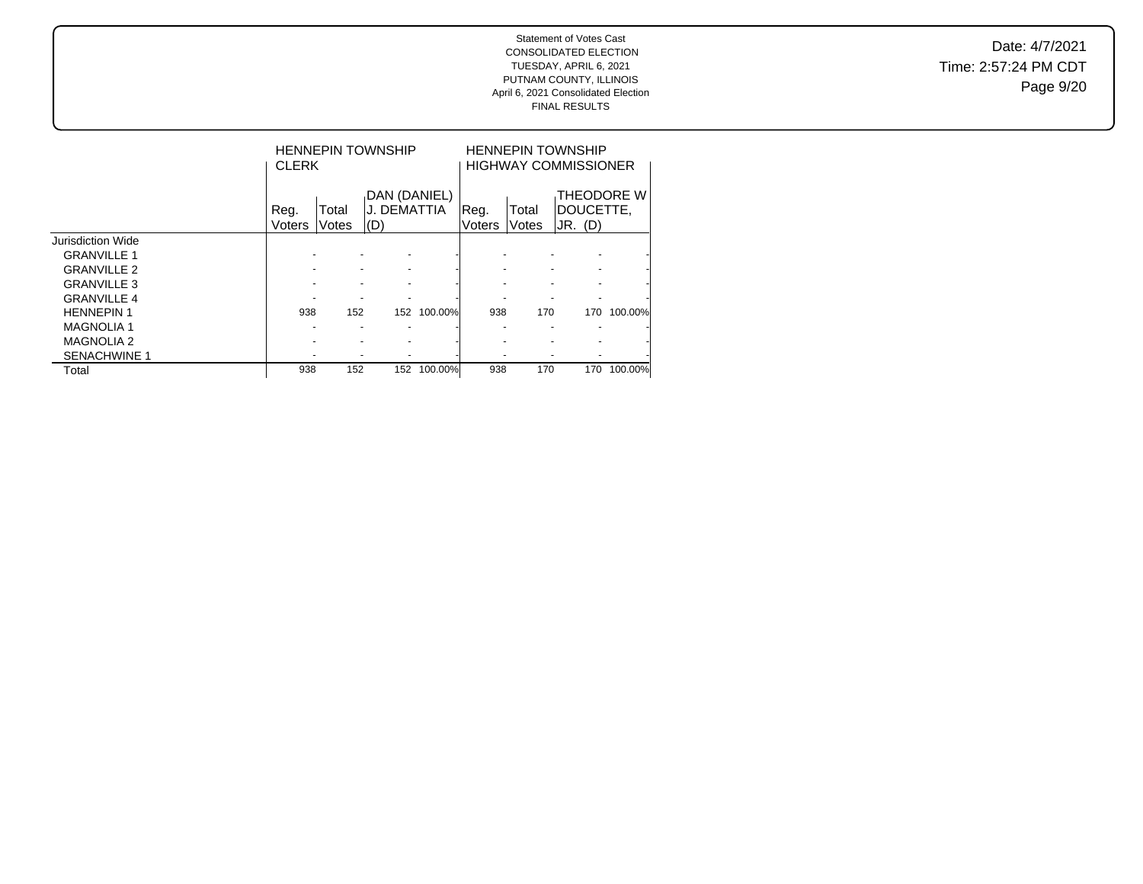Date: 4/7/2021 Time: 2:57:24 PM CDT Page 9/20

|                     | <b>CLERK</b>   |                | <b>HENNEPIN TOWNSHIP</b>           |         |                 |                | <b>HENNEPIN TOWNSHIP</b><br><b>HIGHWAY COMMISSIONER</b> |         |
|---------------------|----------------|----------------|------------------------------------|---------|-----------------|----------------|---------------------------------------------------------|---------|
|                     | Reg.<br>Voters | Total<br>Votes | DAN (DANIEL)<br>J. DEMATTIA<br>(D) |         | .Reg.<br>Voters | Total<br>Votes | THEODORE W<br>IDOUCETTE.<br>JR. (D)                     |         |
| Jurisdiction Wide   |                |                |                                    |         |                 |                |                                                         |         |
| <b>GRANVILLE 1</b>  |                |                |                                    |         |                 |                |                                                         |         |
| <b>GRANVILLE 2</b>  |                |                |                                    |         |                 |                |                                                         |         |
| <b>GRANVILLE 3</b>  |                |                |                                    |         |                 |                |                                                         |         |
| <b>GRANVILLE 4</b>  |                |                |                                    |         |                 |                |                                                         |         |
| <b>HENNEPIN 1</b>   | 938            | 152            | 152                                | 100.00% | 938             | 170            | 170                                                     | 100.00% |
| <b>MAGNOLIA1</b>    |                |                |                                    |         |                 |                |                                                         |         |
| <b>MAGNOLIA 2</b>   |                |                |                                    |         |                 |                |                                                         |         |
| <b>SENACHWINE 1</b> |                |                |                                    |         |                 |                |                                                         |         |
| Total               | 938            | 152            | 152                                | 100.00% | 938             | 170            | 170                                                     | 100.00% |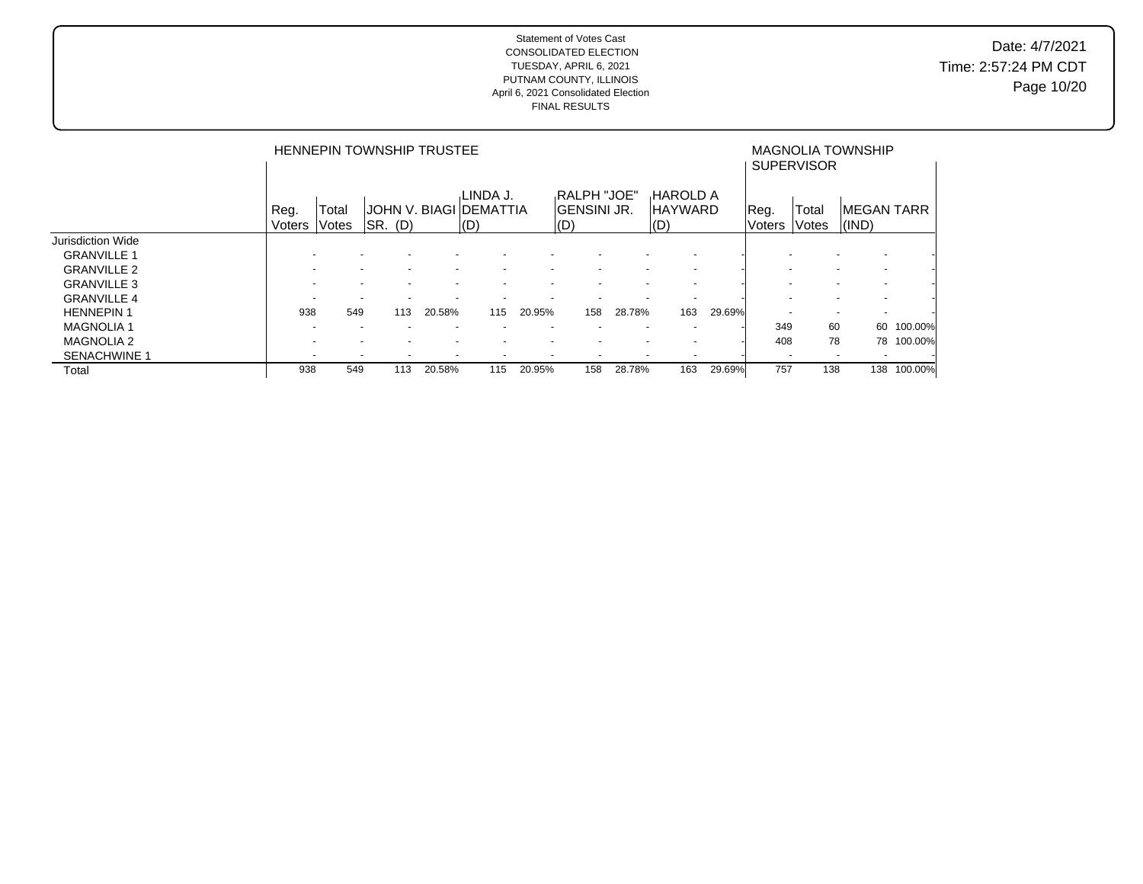Date: 4/7/2021 Time: 2:57:24 PM CDT Page 10/20

|                          |                          |                | <b>HENNEPIN TOWNSHIP TRUSTEE</b> |                          |                                            |        |                                                                       |                          |                                           |        |                          | <b>SUPERVISOR</b> | <b>MAGNOLIA TOWNSHIP</b>            |         |
|--------------------------|--------------------------|----------------|----------------------------------|--------------------------|--------------------------------------------|--------|-----------------------------------------------------------------------|--------------------------|-------------------------------------------|--------|--------------------------|-------------------|-------------------------------------|---------|
|                          | Reg.<br>Voters           | Total<br>Votes | $ $ SR. $(D)$                    |                          | .LINDA J.<br>JOHN V. BIAGI DEMATTIA<br>(D) |        | <b>RALPH "JOE"</b><br><b>IGENSINI JR.</b><br>$\mathsf{I}(\mathsf{D})$ |                          | <b>HAROLD A</b><br><b>IHAYWARD</b><br>(D) |        | Reg.<br>Voters           | Total<br>Votes    | <b>IMEGAN TARR</b><br>$\vert$ (IND) |         |
| <b>Jurisdiction Wide</b> |                          |                |                                  |                          |                                            |        |                                                                       |                          |                                           |        |                          |                   |                                     |         |
| <b>GRANVILLE 1</b>       |                          |                | $\overline{\phantom{0}}$         |                          |                                            |        |                                                                       |                          | $\overline{\phantom{a}}$                  |        |                          |                   | $\overline{\phantom{0}}$            |         |
| <b>GRANVILLE 2</b>       |                          |                | ۰                                |                          |                                            |        |                                                                       |                          |                                           |        |                          |                   | $\overline{\phantom{0}}$            |         |
| <b>GRANVILLE 3</b>       |                          |                | $\overline{\phantom{0}}$         | $\overline{\phantom{0}}$ |                                            |        |                                                                       |                          | $\overline{\phantom{a}}$                  |        |                          |                   | $\overline{\phantom{0}}$            |         |
| <b>GRANVILLE 4</b>       |                          |                | $\overline{\phantom{a}}$         |                          |                                            |        |                                                                       |                          |                                           |        |                          |                   |                                     |         |
| <b>HENNEPIN1</b>         | 938                      | 549            | 113                              | 20.58%                   | 115                                        | 20.95% | 158                                                                   | 28.78%                   | 163                                       | 29.69% |                          |                   | $\overline{\phantom{0}}$            |         |
| <b>MAGNOLIA1</b>         | $\overline{\phantom{a}}$ |                | $\overline{\phantom{a}}$         | $\overline{\phantom{a}}$ |                                            |        |                                                                       | $\overline{\phantom{a}}$ | $\overline{\phantom{a}}$                  |        | 349                      | 60                | 60                                  | 100.00% |
| <b>MAGNOLIA 2</b>        |                          |                | ۰                                | $\overline{\phantom{a}}$ |                                            |        |                                                                       |                          |                                           |        | 408                      | 78                | 78                                  | 100.00% |
| <b>SENACHWINE 1</b>      |                          |                | $\overline{\phantom{0}}$         | $\overline{\phantom{a}}$ | $\overline{\phantom{a}}$                   |        |                                                                       |                          |                                           |        | $\overline{\phantom{0}}$ |                   |                                     |         |
| Total                    | 938                      | 549            | 113                              | 20.58%                   | 115                                        | 20.95% | 158                                                                   | 28.78%                   | 163                                       | 29.69% | 757                      | 138               | 138                                 | 100.00% |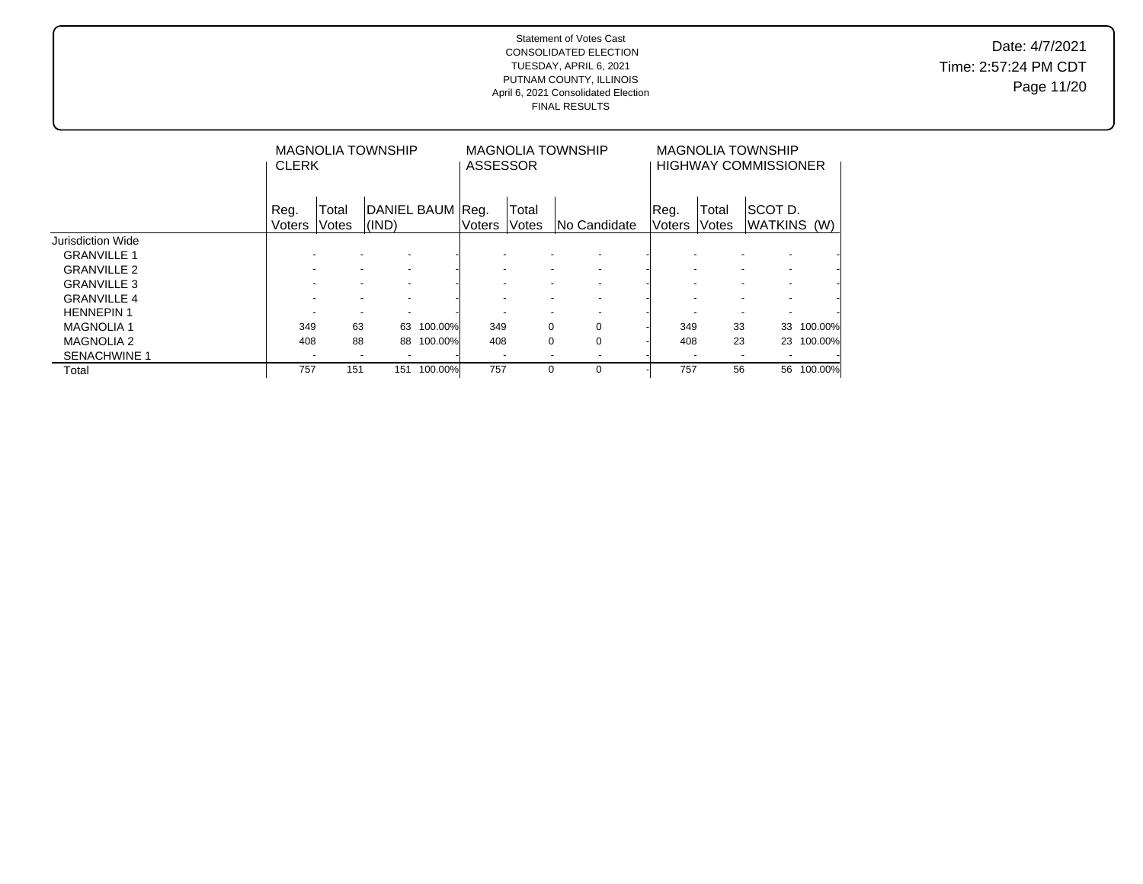Date: 4/7/2021 Time: 2:57:24 PM CDT Page 11/20

|                     | <b>CLERK</b>          |                | <b>MAGNOLIA TOWNSHIP</b>  |         | <b>ASSESSOR</b> |                          | <b>MAGNOLIA TOWNSHIP</b> |                |                | <b>MAGNOLIA TOWNSHIP</b><br><b>HIGHWAY COMMISSIONER</b> |         |
|---------------------|-----------------------|----------------|---------------------------|---------|-----------------|--------------------------|--------------------------|----------------|----------------|---------------------------------------------------------|---------|
|                     | Reg.<br><b>Voters</b> | Total<br>Votes | DANIEL BAUM Reg.<br>(IND) |         | Voters          | Total<br><b>Votes</b>    | INo Candidate            | Reg.<br>Voters | Total<br>Votes | ISCOT D.<br>WATKINS (W)                                 |         |
| Jurisdiction Wide   |                       |                |                           |         |                 |                          |                          |                |                |                                                         |         |
| <b>GRANVILLE 1</b>  |                       |                |                           |         |                 |                          |                          |                |                |                                                         |         |
| <b>GRANVILLE 2</b>  |                       |                | $\overline{\phantom{a}}$  |         |                 |                          | $\overline{\phantom{a}}$ |                |                | $\overline{\phantom{a}}$                                |         |
| <b>GRANVILLE 3</b>  |                       |                |                           |         |                 |                          |                          |                |                | $\overline{\phantom{a}}$                                |         |
| <b>GRANVILLE 4</b>  |                       |                |                           |         |                 |                          |                          |                |                | $\overline{\phantom{0}}$                                |         |
| <b>HENNEPIN1</b>    |                       |                |                           |         |                 |                          |                          |                |                |                                                         |         |
| <b>MAGNOLIA1</b>    | 349                   | 63             | 63                        | 100.00% | 349             |                          | $\Omega$<br>0            | 349            | 33             | 33                                                      | 100.00% |
| <b>MAGNOLIA 2</b>   | 408                   | 88             | 88                        | 100.00% | 408             |                          | $\Omega$<br>$\Omega$     | 408            | 23             | 23                                                      | 100.00% |
| <b>SENACHWINE 1</b> |                       |                |                           |         |                 | $\overline{\phantom{0}}$ |                          |                |                | $\overline{\phantom{a}}$                                |         |
| Total               | 757                   | 151            | 151                       | 100.00% | 757             |                          | 0<br>0                   | 757            | 56             | 56                                                      | 100.00% |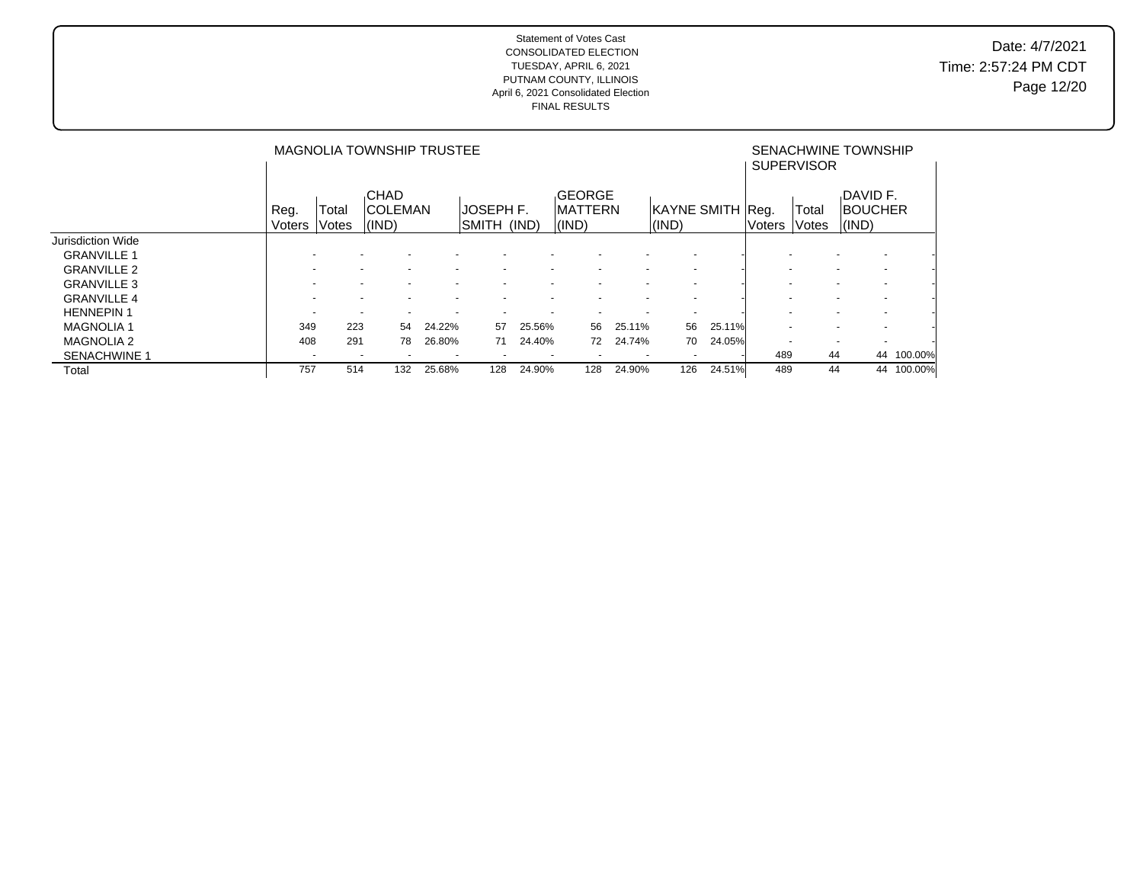Date: 4/7/2021 Time: 2:57:24 PM CDT Page 12/20

|                     |                          |                       | <b>MAGNOLIA TOWNSHIP TRUSTEE</b>                     | SENACHWINE TOWNSHIP<br><b>SUPERVISOR</b> |                                                      |        |                                                      |                          |                           |        |        |                |                                                      |         |
|---------------------|--------------------------|-----------------------|------------------------------------------------------|------------------------------------------|------------------------------------------------------|--------|------------------------------------------------------|--------------------------|---------------------------|--------|--------|----------------|------------------------------------------------------|---------|
|                     | Reg.<br>Voters           | Гоtal<br><b>Votes</b> | <b>CHAD</b><br>ICOLEMAN<br>(IND)                     |                                          | <b>JOSEPH F.</b><br>SMITH (IND)                      |        | GEORGE<br><b>IMATTERN</b><br>(IND)                   |                          | KAYNE SMITH Reg.<br>(IND) |        | Voters | Total<br>Votes | DAVID F.<br><b>BOUCHER</b><br>(IND)                  |         |
| Jurisdiction Wide   |                          |                       |                                                      |                                          |                                                      |        |                                                      |                          |                           |        |        |                |                                                      |         |
| <b>GRANVILLE 1</b>  |                          |                       |                                                      |                                          |                                                      |        |                                                      |                          |                           |        |        |                | $\overline{\phantom{a}}$                             |         |
| <b>GRANVILLE 2</b>  | $\overline{\phantom{a}}$ |                       | $\overline{\phantom{a}}$<br>$\overline{\phantom{a}}$ |                                          | $\overline{\phantom{0}}$<br>$\overline{\phantom{0}}$ |        | $\overline{\phantom{0}}$<br>$\overline{\phantom{a}}$ | $\overline{\phantom{a}}$ | $\sim$                    |        |        |                | $\overline{\phantom{a}}$<br>$\overline{\phantom{a}}$ |         |
| <b>GRANVILLE 3</b>  |                          |                       |                                                      |                                          |                                                      |        |                                                      |                          | $\overline{\phantom{0}}$  |        |        |                | $\overline{\phantom{a}}$                             |         |
| <b>GRANVILLE 4</b>  |                          |                       |                                                      |                                          |                                                      |        |                                                      |                          |                           |        |        |                |                                                      |         |
| <b>HENNEPIN1</b>    | $\sim$                   |                       | $\sim$<br>$\sim$                                     |                                          | $\sim$<br>$\overline{\phantom{0}}$                   |        | $\sim$<br>$\overline{\phantom{a}}$                   | $\overline{\phantom{a}}$ | $\sim$                    |        |        |                | $\overline{\phantom{a}}$<br>$\overline{\phantom{a}}$ |         |
| <b>MAGNOLIA 1</b>   | 349                      | 223                   | 54                                                   | 24.22%                                   | 57                                                   | 25.56% | 56                                                   | 25.11%                   | 56                        | 25.11% |        |                | $\overline{\phantom{0}}$<br>$\overline{\phantom{a}}$ |         |
| <b>MAGNOLIA 2</b>   | 408                      | 291                   | 78                                                   | 26.80%                                   | 71                                                   | 24.40% | 72                                                   | 24.74%                   | 70                        | 24.05% |        |                | $\overline{\phantom{0}}$<br>$\overline{\phantom{a}}$ |         |
| <b>SENACHWINE 1</b> | $\overline{\phantom{a}}$ |                       | $\overline{\phantom{a}}$<br>$\overline{\phantom{a}}$ | $\overline{a}$                           | $\overline{\phantom{a}}$                             |        | $\sim$<br>$\overline{\phantom{a}}$                   | $\overline{\phantom{a}}$ | $\overline{a}$            |        | 489    | 44             | 44                                                   | 100.00% |
| Total               | 757                      | 514                   | 132                                                  | 25.68%                                   | 128                                                  | 24.90% | 128                                                  | 24.90%                   | 126                       | 24.51% | 489    | 44             | 44                                                   | 100.00% |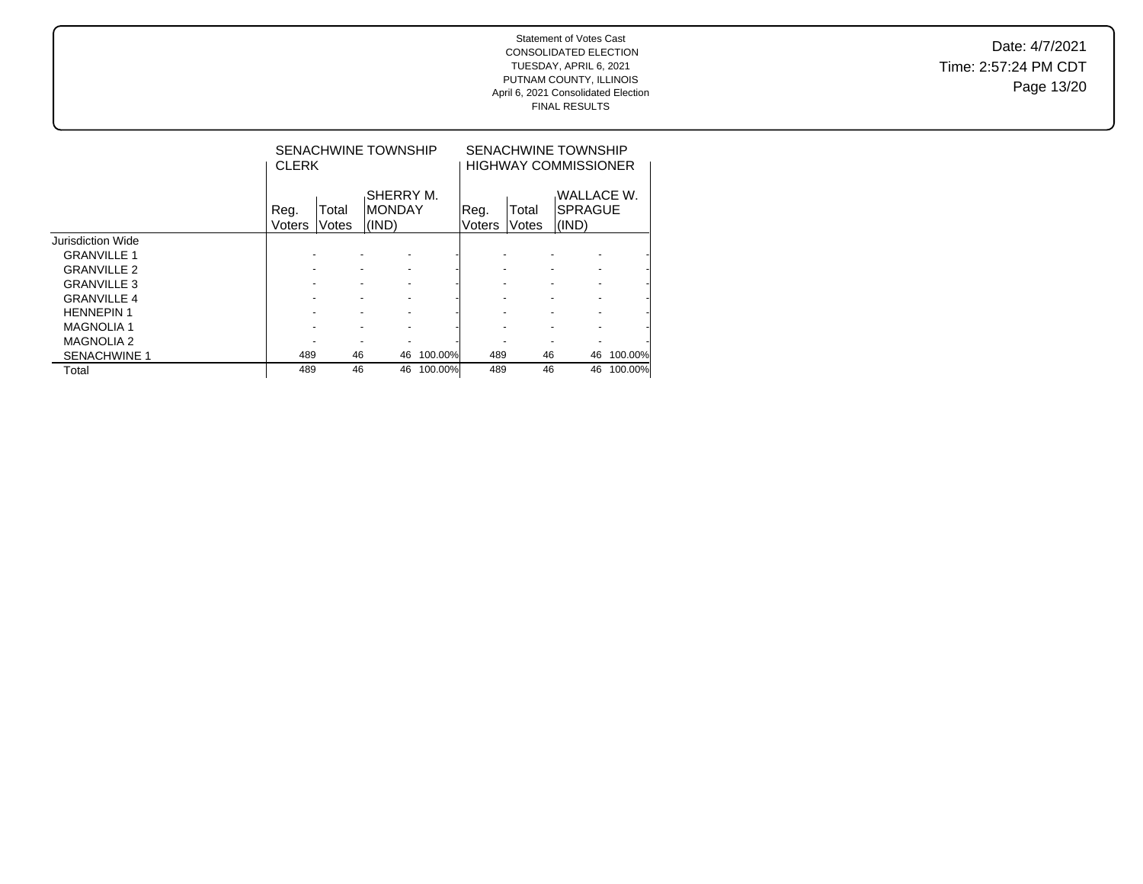Date: 4/7/2021 Time: 2:57:24 PM CDT Page 13/20

|                     | <b>CLERK</b>   |                | SENACHWINE TOWNSHIP           |         |                |                | SENACHWINE TOWNSHIP<br><b>HIGHWAY COMMISSIONER</b> |         |  |  |
|---------------------|----------------|----------------|-------------------------------|---------|----------------|----------------|----------------------------------------------------|---------|--|--|
|                     | Reg.<br>Voters | Total<br>Votes | SHERRY M.<br>IMONDAY<br>(IND) |         | Reg.<br>Voters | Total<br>Votes | WALLACE W.<br><b>SPRAGUE</b><br>(IND)              |         |  |  |
| Jurisdiction Wide   |                |                |                               |         |                |                |                                                    |         |  |  |
| <b>GRANVILLE 1</b>  |                |                |                               |         |                |                |                                                    |         |  |  |
| <b>GRANVILLE 2</b>  |                |                |                               |         |                |                |                                                    |         |  |  |
| <b>GRANVILLE 3</b>  |                |                |                               |         |                |                |                                                    |         |  |  |
| <b>GRANVILLE 4</b>  |                |                |                               |         |                |                |                                                    |         |  |  |
| <b>HENNEPIN 1</b>   |                |                |                               |         |                |                |                                                    |         |  |  |
| <b>MAGNOLIA 1</b>   |                |                |                               |         |                |                |                                                    |         |  |  |
| <b>MAGNOLIA 2</b>   |                |                |                               |         |                |                |                                                    |         |  |  |
| <b>SENACHWINE 1</b> | 489            | 46             | 46                            | 100.00% | 489            | 46             | 46                                                 | 100.00% |  |  |
| Total               | 489            | 46             | 46                            | 100.00% | 489            | 46             | 46                                                 | 100.00% |  |  |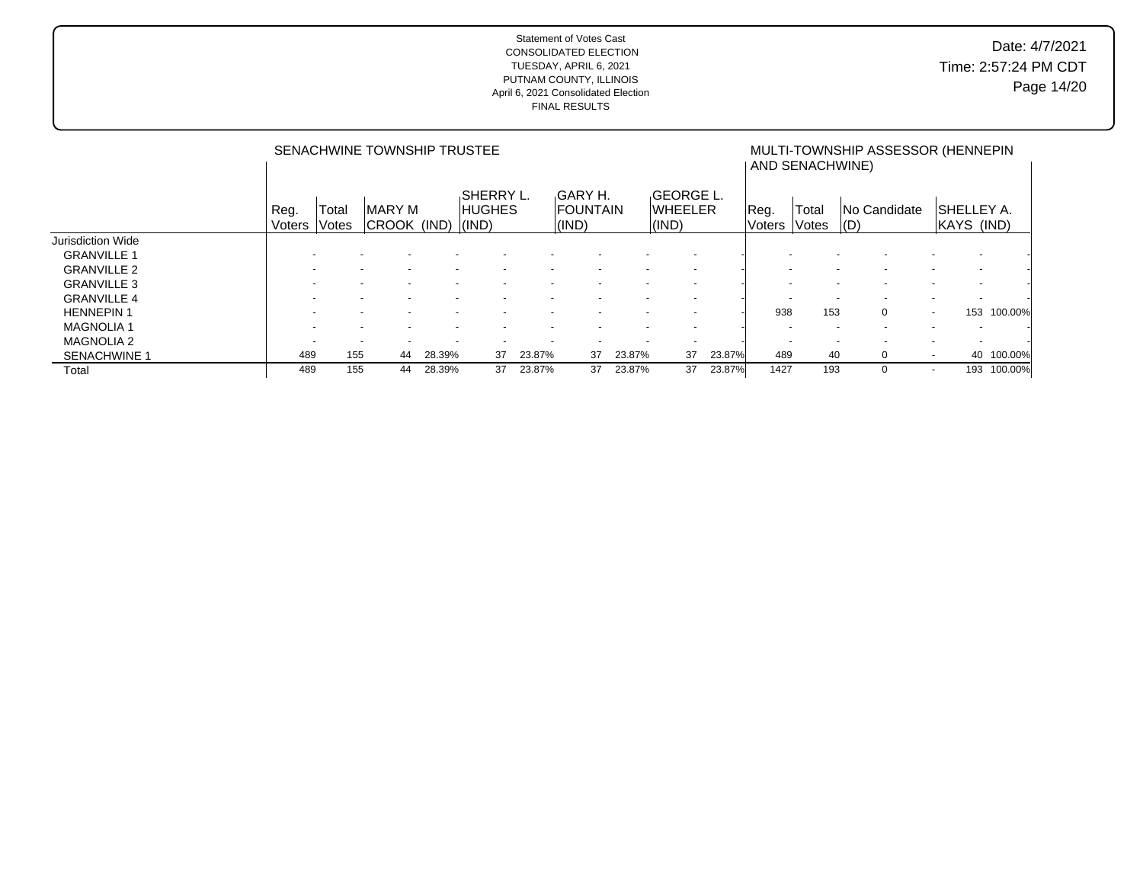|                     |                |                | SENACHWINE TOWNSHIP TRUSTEE        |        |                            |        |                                             | MULTI-TOWNSHIP ASSESSOR (HENNEPIN<br>AND SENACHWINE) |                                                     |        |                          |                       |                              |                                 |         |
|---------------------|----------------|----------------|------------------------------------|--------|----------------------------|--------|---------------------------------------------|------------------------------------------------------|-----------------------------------------------------|--------|--------------------------|-----------------------|------------------------------|---------------------------------|---------|
|                     | Reg.<br>Voters | Total<br>Votes | <b>MARY M</b><br>CROOK (IND) (IND) |        | SHERRY L.<br><b>HUGHES</b> |        | GARY H.<br><b>FOUNTAIN</b><br>$\vert$ (IND) |                                                      | <b>GEORGE L.</b><br><b>WHEELER</b><br>$\vert$ (IND) |        | Reg.<br><b>Voters</b>    | Total<br><b>Votes</b> | <b>No Candidate</b><br>  (D) | SHELLEY A.<br>KAYS (IND)        |         |
| Jurisdiction Wide   |                |                |                                    |        |                            |        |                                             |                                                      |                                                     |        |                          |                       |                              |                                 |         |
| <b>GRANVILLE 1</b>  |                |                |                                    |        |                            |        |                                             |                                                      |                                                     |        |                          |                       |                              |                                 |         |
| <b>GRANVILLE 2</b>  |                |                |                                    |        |                            |        |                                             |                                                      | $\overline{\phantom{a}}$                            |        |                          |                       |                              |                                 |         |
| <b>GRANVILLE 3</b>  |                |                |                                    |        |                            |        |                                             |                                                      |                                                     |        |                          |                       |                              |                                 |         |
| <b>GRANVILLE 4</b>  |                |                |                                    |        |                            |        |                                             |                                                      |                                                     |        |                          |                       |                              |                                 |         |
| <b>HENNEPIN1</b>    |                |                |                                    |        |                            |        |                                             |                                                      |                                                     |        | 938                      | 153                   | $\Omega$                     | 153<br>$\sim$                   | 100.00% |
| <b>MAGNOLIA1</b>    |                |                | $\overline{\phantom{a}}$           |        |                            |        |                                             |                                                      |                                                     |        | $\overline{\phantom{a}}$ |                       |                              |                                 |         |
| <b>MAGNOLIA 2</b>   |                |                | $\overline{\phantom{a}}$           |        |                            |        |                                             |                                                      | $\overline{\phantom{a}}$                            |        | $\overline{\phantom{0}}$ |                       |                              |                                 |         |
| <b>SENACHWINE 1</b> | 489            | 155            | 44                                 | 28.39% | 37                         | 23.87% | 37                                          | 23.87%                                               | 37                                                  | 23.87% | 489                      | 40                    | $\Omega$                     | 40<br>$\sim$                    | 100.00% |
| Total               | 489            | 155            | 44                                 | 28.39% | 37                         | 23.87% | 37                                          | 23.87%                                               | 37                                                  | 23.87% | 1427                     | 193                   | $\Omega$                     | 193<br>$\overline{\phantom{a}}$ | 100.00% |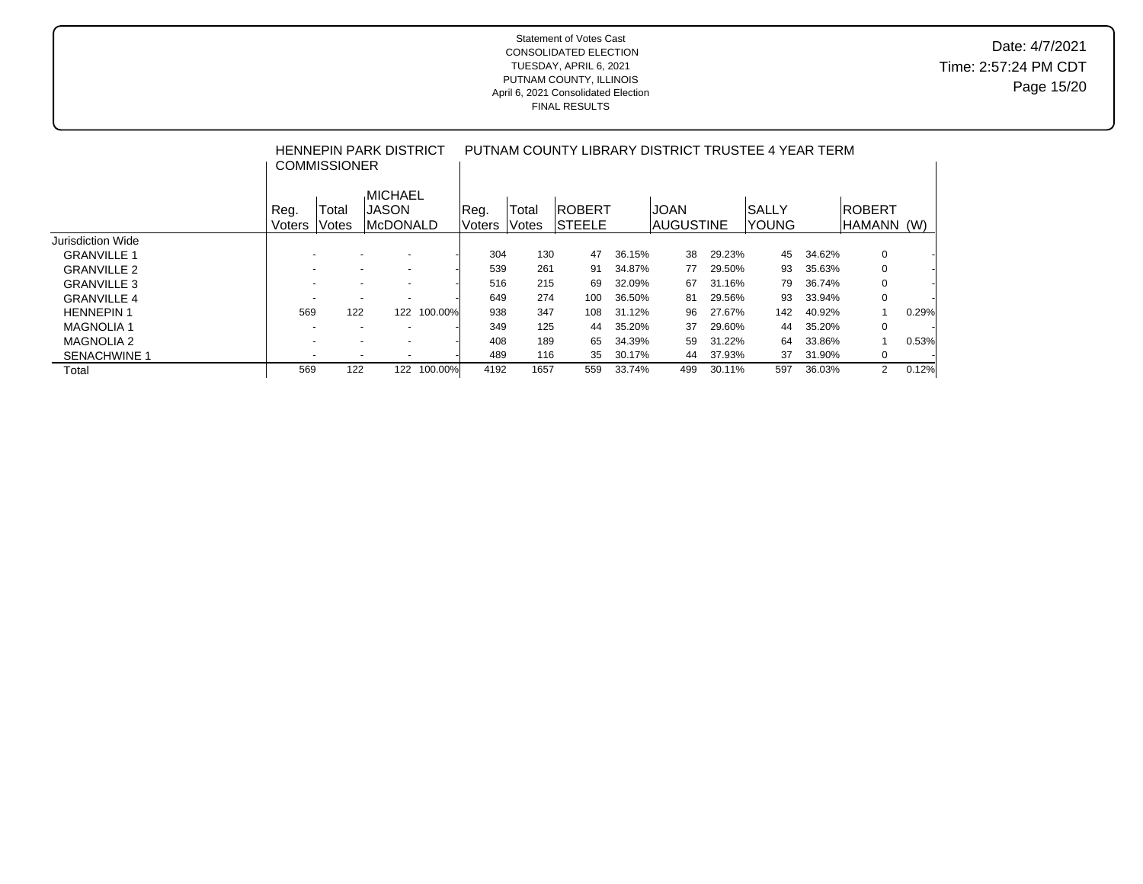## Date: 4/7/2021 Time: 2:57:24 PM CDT Page 15/20

|                     |                | <b>COMMISSIONER</b>      | HENNEPIN PARK DISTRICT                               |         | PUTNAM COUNTY LIBRARY DISTRICT TRUSTEE 4 YEAR TERM |                |                                |        |                           |        |                         |        |                   |       |  |
|---------------------|----------------|--------------------------|------------------------------------------------------|---------|----------------------------------------------------|----------------|--------------------------------|--------|---------------------------|--------|-------------------------|--------|-------------------|-------|--|
|                     | Reg.<br>Voters | Total<br><b>Votes</b>    | <b>MICHAEL</b><br><b>JASON</b><br> McDONALD          |         | Reg.<br>Voters                                     | Total<br>Votes | <b>ROBERT</b><br><b>STEELE</b> |        | <b>JOAN</b><br>IAUGUSTINE |        | ISALLY<br><b>IYOUNG</b> |        | ROBERT<br> HAMANN | (W)   |  |
| Jurisdiction Wide   |                |                          |                                                      |         |                                                    |                |                                |        |                           |        |                         |        |                   |       |  |
| <b>GRANVILLE 1</b>  |                | ۰                        | $\overline{\phantom{a}}$<br>$\overline{\phantom{a}}$ |         | 304                                                | 130            | 47                             | 36.15% | 38                        | 29.23% | 45                      | 34.62% | 0                 |       |  |
| <b>GRANVILLE 2</b>  |                |                          | $\overline{\phantom{a}}$<br>$\overline{\phantom{0}}$ |         | 539                                                | 261            | 91                             | 34.87% | 77                        | 29.50% | 93                      | 35.63% | 0                 |       |  |
| <b>GRANVILLE 3</b>  |                | $\overline{\phantom{0}}$ | $\overline{\phantom{a}}$<br>$\overline{\phantom{0}}$ |         | 516                                                | 215            | 69                             | 32.09% | 67                        | 31.16% | 79                      | 36.74% | 0                 |       |  |
| <b>GRANVILLE 4</b>  |                |                          | $\overline{\phantom{a}}$<br>$\overline{\phantom{a}}$ |         | 649                                                | 274            | 100                            | 36.50% | 81                        | 29.56% | 93                      | 33.94% | 0                 |       |  |
| <b>HENNEPIN 1</b>   | 569            | 122                      | 122                                                  | 100.00% | 938                                                | 347            | 108                            | 31.12% | 96                        | 27.67% | 142                     | 40.92% |                   | 0.29% |  |
| <b>MAGNOLIA1</b>    |                | $\overline{\phantom{0}}$ | $\overline{\phantom{a}}$<br>$\overline{\phantom{a}}$ |         | 349                                                | 125            | 44                             | 35.20% | 37                        | 29.60% | 44                      | 35.20% | 0                 |       |  |
| <b>MAGNOLIA 2</b>   |                |                          | $\overline{\phantom{a}}$<br>$\overline{\phantom{a}}$ |         | 408                                                | 189            | 65                             | 34.39% | 59                        | 31.22% | 64                      | 33.86% |                   | 0.53% |  |
| <b>SENACHWINE 1</b> |                | $\overline{\phantom{0}}$ | $\overline{a}$<br>$\overline{\phantom{a}}$           |         | 489                                                | 116            | 35                             | 30.17% | 44                        | 37.93% | 37                      | 31.90% | 0                 |       |  |
| Total               | 569            | 122                      | 122                                                  | 100.00% | 4192                                               | 1657           | 559                            | 33.74% | 499                       | 30.11% | 597                     | 36.03% | $\overline{2}$    | 0.12% |  |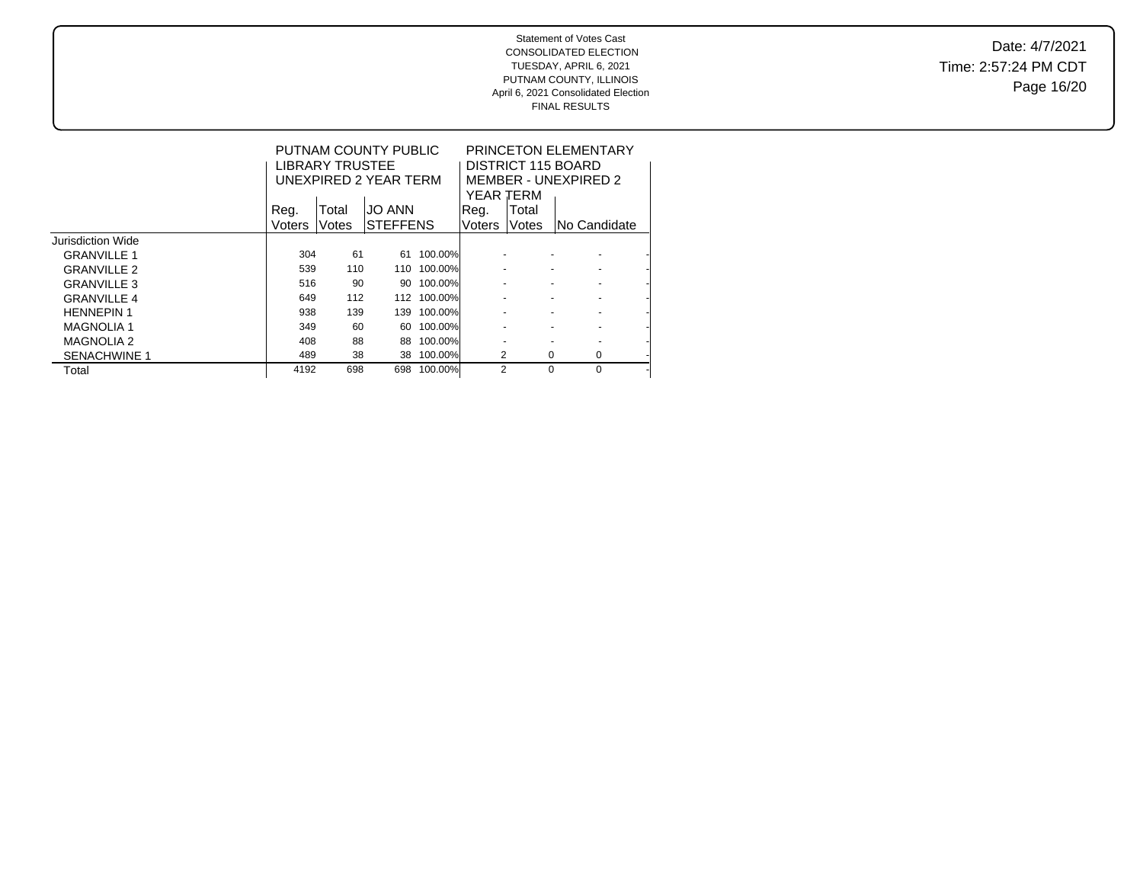Date: 4/7/2021 Time: 2:57:24 PM CDT Page 16/20

|                     |        | <b>LIBRARY TRUSTEE</b> | PUTNAM COUNTY PUBLIC<br>UNEXPIRED 2 YEAR TERM |         | YEAR TERM |          | <b>PRINCETON ELEMENTARY</b><br>DISTRICT 115 BOARD<br>MEMBER - UNEXPIRED 2 |  |  |
|---------------------|--------|------------------------|-----------------------------------------------|---------|-----------|----------|---------------------------------------------------------------------------|--|--|
|                     | Reg.   | Total                  | <b>JO ANN</b>                                 |         | Reg.      | Total    |                                                                           |  |  |
|                     | Voters | Votes                  | <b>STEFFENS</b>                               |         | Voters    | Votes    | INo Candidate                                                             |  |  |
| Jurisdiction Wide   |        |                        |                                               |         |           |          |                                                                           |  |  |
| <b>GRANVILLE 1</b>  | 304    | 61                     | 61                                            | 100.00% |           |          |                                                                           |  |  |
| <b>GRANVILLE 2</b>  | 539    | 110                    | 110                                           | 100.00% |           |          |                                                                           |  |  |
| <b>GRANVILLE 3</b>  | 516    | 90                     | 90                                            | 100.00% |           |          |                                                                           |  |  |
| <b>GRANVILLE 4</b>  | 649    | 112                    | 112                                           | 100.00% |           |          |                                                                           |  |  |
| <b>HENNEPIN1</b>    | 938    | 139                    | 139                                           | 100.00% |           |          |                                                                           |  |  |
| <b>MAGNOLIA 1</b>   | 349    | 60                     | 60                                            | 100.00% |           |          | ٠                                                                         |  |  |
| <b>MAGNOLIA 2</b>   | 408    | 88                     | 88                                            | 100.00% |           |          |                                                                           |  |  |
| <b>SENACHWINE 1</b> | 489    | 38                     | 38                                            | 100.00% | 2         | 0        | 0                                                                         |  |  |
| Total               | 4192   | 698                    | 698                                           | 100.00% | 2         | $\Omega$ | $\Omega$                                                                  |  |  |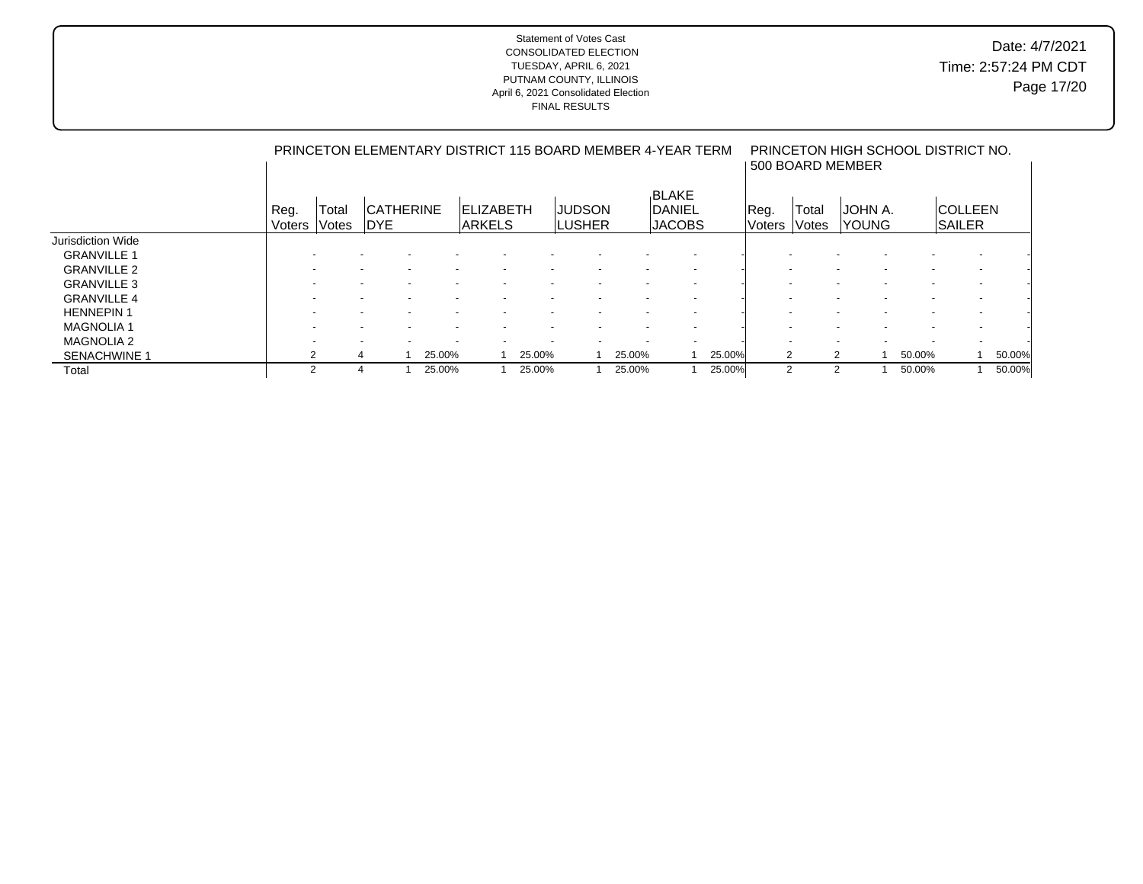|                     |                | PRINCETON ELEMENTARY DISTRICT 115 BOARD MEMBER 4-YEAR TERM |                                |  |        |                                    |        |  |                                 |        |                                                |        |                |                          | PRINCETON HIGH SCHOOL DISTRICT NO.<br>500 BOARD MEMBER |  |        |                                  |  |        |  |  |  |
|---------------------|----------------|------------------------------------------------------------|--------------------------------|--|--------|------------------------------------|--------|--|---------------------------------|--------|------------------------------------------------|--------|----------------|--------------------------|--------------------------------------------------------|--|--------|----------------------------------|--|--------|--|--|--|
|                     | Reg.<br>Voters | Total<br>Votes                                             | <b>CATHERINE</b><br><b>DYE</b> |  |        | <b>IELIZABETH</b><br><b>ARKELS</b> |        |  | <b>JUDSON</b><br><b>ILUSHER</b> |        | <b>BLAKE</b><br><b>DANIEL</b><br><b>JACOBS</b> |        | Reg.<br>Voters | Total<br>Votes           | JOHN A.<br><b>YOUNG</b>                                |  |        | <b>ICOLLEEN</b><br><b>SAILER</b> |  |        |  |  |  |
| Jurisdiction Wide   |                |                                                            |                                |  |        |                                    |        |  |                                 |        |                                                |        |                |                          |                                                        |  |        |                                  |  |        |  |  |  |
| <b>GRANVILLE 1</b>  |                |                                                            |                                |  |        |                                    |        |  |                                 |        |                                                |        |                |                          |                                                        |  |        |                                  |  |        |  |  |  |
| <b>GRANVILLE 2</b>  |                |                                                            |                                |  |        |                                    |        |  |                                 |        |                                                |        |                |                          |                                                        |  |        |                                  |  |        |  |  |  |
| <b>GRANVILLE 3</b>  |                |                                                            |                                |  |        |                                    |        |  |                                 |        |                                                |        |                |                          |                                                        |  |        |                                  |  |        |  |  |  |
| <b>GRANVILLE 4</b>  |                |                                                            |                                |  |        |                                    |        |  |                                 |        |                                                |        |                |                          |                                                        |  |        |                                  |  |        |  |  |  |
| <b>HENNEPIN1</b>    |                |                                                            |                                |  |        |                                    |        |  |                                 |        |                                                |        |                |                          |                                                        |  |        |                                  |  |        |  |  |  |
| <b>MAGNOLIA1</b>    |                |                                                            |                                |  |        |                                    |        |  |                                 |        |                                                |        |                | $\overline{\phantom{0}}$ |                                                        |  |        |                                  |  |        |  |  |  |
| <b>MAGNOLIA 2</b>   |                |                                                            |                                |  |        |                                    |        |  |                                 |        |                                                |        |                |                          |                                                        |  |        |                                  |  |        |  |  |  |
| <b>SENACHWINE 1</b> |                |                                                            |                                |  | 25.00% |                                    | 25.00% |  |                                 | 25.00% |                                                | 25.00% |                | 2                        | 2                                                      |  | 50.00% |                                  |  | 50.00% |  |  |  |
| Total               |                | 2                                                          |                                |  | 25.00% |                                    | 25.00% |  |                                 | 25.00% |                                                | 25.00% |                | 2                        | 2                                                      |  | 50.00% |                                  |  | 50.00% |  |  |  |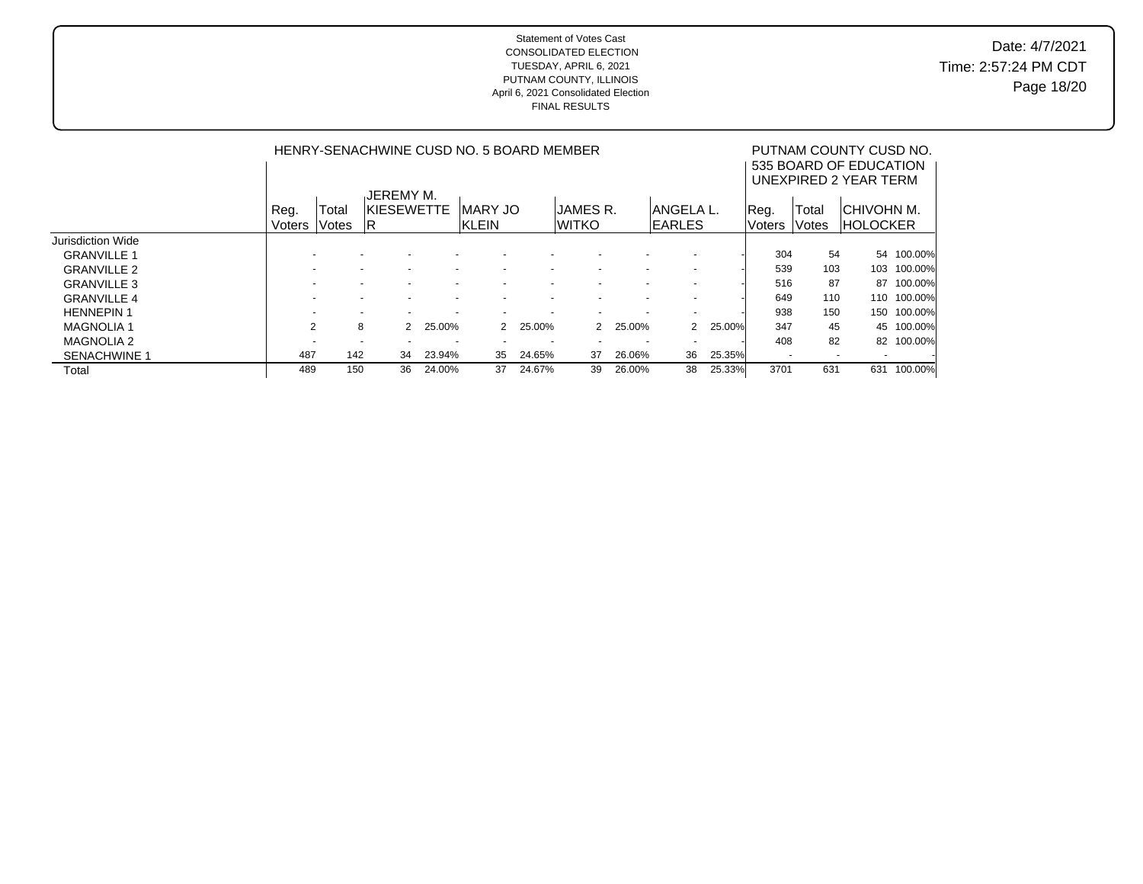Date: 4/7/2021 Time: 2:57:24 PM CDT Page 18/20

|                     |                | PUTNAM COUNTY CUSD NO.<br>535 BOARD OF EDUCATION |                                                      |        |                                                      |                          |                          |                       |                          |        |                          |        |                 |            |
|---------------------|----------------|--------------------------------------------------|------------------------------------------------------|--------|------------------------------------------------------|--------------------------|--------------------------|-----------------------|--------------------------|--------|--------------------------|--------|-----------------|------------|
|                     |                |                                                  |                                                      |        |                                                      |                          |                          | UNEXPIRED 2 YEAR TERM |                          |        |                          |        |                 |            |
|                     |                |                                                  | <b>JEREMY M.</b>                                     |        |                                                      |                          |                          |                       |                          |        |                          |        |                 |            |
|                     | Reg.           | Total                                            | IKIESEWETTE                                          |        | <b>MARY JO</b>                                       |                          | JAMES R.                 |                       | IANGELA L.               |        | Reg.                     | Total  | ICHIVOHN M.     |            |
|                     | Voters         | Votes                                            | IR.                                                  |        | <b>KLEIN</b>                                         |                          | <b>WITKO</b>             |                       | <b>IEARLES</b>           |        | <b>Voters</b>            | Votes  | <b>HOLOCKER</b> |            |
| Jurisdiction Wide   |                |                                                  |                                                      |        |                                                      |                          |                          |                       |                          |        |                          |        |                 |            |
| <b>GRANVILLE 1</b>  |                |                                                  |                                                      |        |                                                      |                          |                          |                       |                          |        | 304                      | 54     |                 | 54 100.00% |
| <b>GRANVILLE 2</b>  |                |                                                  | $\overline{\phantom{a}}$<br>$\overline{\phantom{0}}$ |        | $\overline{\phantom{0}}$<br>$\overline{\phantom{0}}$ | $\overline{\phantom{0}}$ | $\overline{\phantom{0}}$ |                       | $\overline{\phantom{a}}$ |        | 539                      | 103    | 103             | 100.00%    |
| <b>GRANVILLE 3</b>  |                |                                                  |                                                      |        |                                                      |                          |                          |                       | $\overline{\phantom{a}}$ |        | 516                      | 87     | 87              | 100.00%    |
| <b>GRANVILLE 4</b>  |                |                                                  |                                                      |        |                                                      |                          |                          |                       |                          |        | 649                      | 110    | 110             | 100.00%    |
| <b>HENNEPIN1</b>    |                |                                                  |                                                      |        |                                                      |                          |                          |                       | $\overline{\phantom{a}}$ |        | 938                      | 150    | 150             | 100.00%    |
| <b>MAGNOLIA 1</b>   | $\overline{2}$ |                                                  | 8<br>$\mathcal{P}$                                   | 25.00% | $\mathcal{P}$                                        | 25.00%                   | $\mathcal{P}$            | 25.00%                | 2                        | 25.00% | 347                      | 45     | 45              | 100.00%    |
| <b>MAGNOLIA 2</b>   |                |                                                  | $\overline{\phantom{a}}$                             |        |                                                      |                          |                          |                       | $\overline{\phantom{a}}$ |        | 408                      | 82     |                 | 82 100.00% |
| <b>SENACHWINE 1</b> | 487            | 142                                              | 34                                                   | 23.94% | 35                                                   | 24.65%                   | 37                       | 26.06%                | 36                       | 25.35% | $\overline{\phantom{a}}$ | $\sim$ |                 |            |
| Total               | 489            | 150                                              | 36                                                   | 24.00% | 37                                                   | 24.67%                   | 39                       | 26.00%                | 38                       | 25.33% | 3701                     | 631    | 631             | 100.00%    |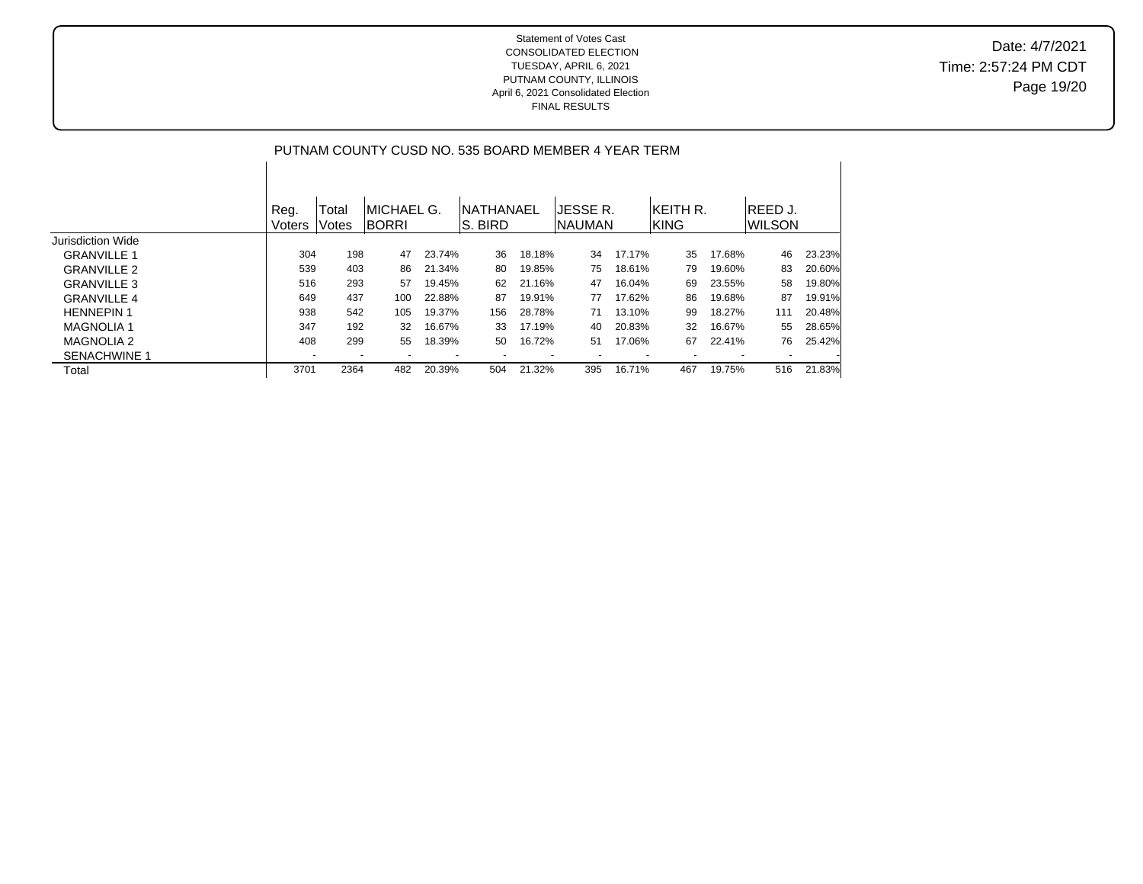### Statement of Votes Cast CONSOLIDATED ELECTION TUESDAY, APRIL 6, 2021 PUTNAM COUNTY, ILLINOIS FINAL RESULTS

|                    |                |                |                             |        |                              |        | PUTNAM COUNTY CUSD NO. 535 BOARD MEMBER 4 YEAR TERM |        |                                 |        |                     |        |
|--------------------|----------------|----------------|-----------------------------|--------|------------------------------|--------|-----------------------------------------------------|--------|---------------------------------|--------|---------------------|--------|
|                    | Reg.<br>Voters | Total<br>Votes | IMICHAEL G.<br><b>BORRI</b> |        | <b>NATHANAEL</b><br>IS. BIRD |        | JESSE R.<br>INAUMAN                                 |        | <b>IKEITH R.</b><br><b>KING</b> |        | IREED J.<br>IWILSON |        |
| Jurisdiction Wide  |                |                |                             |        |                              |        |                                                     |        |                                 |        |                     |        |
| <b>GRANVILLE 1</b> | 304            | 198            | 47                          | 23.74% | 36                           | 18.18% | 34                                                  | 17.17% | 35                              | 17.68% | 46                  | 23.23% |
| <b>GRANVILLE 2</b> | 539            | 403            | 86                          | 21.34% | 80                           | 19.85% | 75                                                  | 18.61% | 79                              | 19.60% | 83                  | 20.60% |
| <b>GRANVILLE 3</b> | 516            | 293            | 57                          | 19.45% | 62                           | 21.16% | 47                                                  | 16.04% | 69                              | 23.55% | 58                  | 19.80% |
| <b>GRANVILLE 4</b> | 649            | 437            | 100                         | 22.88% | 87                           | 19.91% | 77                                                  | 17.62% | 86                              | 19.68% | 87                  | 19.91% |
| <b>HENNEPIN 1</b>  | 938            | 542            | 105                         | 19.37% | 156                          | 28.78% | 71                                                  | 13.10% | 99                              | 18.27% | 111                 | 20.48% |
| <b>MAGNOLIA1</b>   | 347            | 192            | 32                          | 16.67% | 33                           | 17.19% | 40                                                  | 20.83% | 32                              | 16.67% | 55                  | 28.65% |

MAGNOLIA 2 408 299 55 18.39% 50 16.72% 51 17.06% 67 22.41% 76 25.42%

SENACHWINE 1 - - - - - - - - - - - - Total 3701 2364 482 20.39% 504 21.32% 395 16.71% 467 19.75% 516 21.83%

# April 6, 2021 Consolidated Election